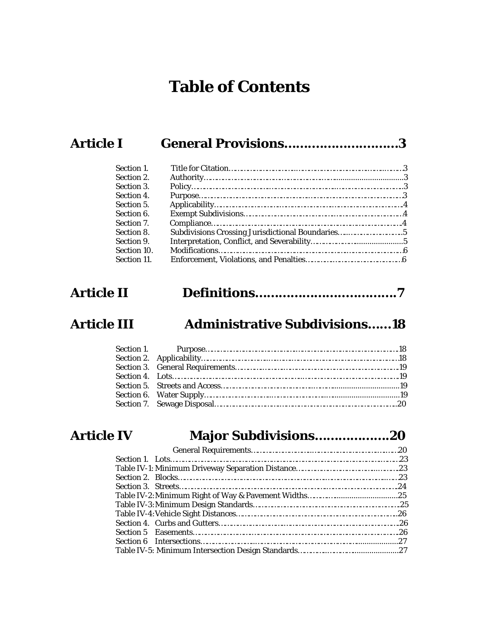# **Table of Contents**

# **Article I General Provisions…….………….………3**

| Section 1.  |  |
|-------------|--|
| Section 2.  |  |
| Section 3.  |  |
| Section 4.  |  |
| Section 5.  |  |
| Section 6.  |  |
| Section 7.  |  |
| Section 8.  |  |
| Section 9.  |  |
| Section 10. |  |
| Section 11. |  |

# **Article II Definitions…………………..………….7**

# **Article III Administrative Subdivisions……18**

# **Article IV Major Subdivisions……………….20**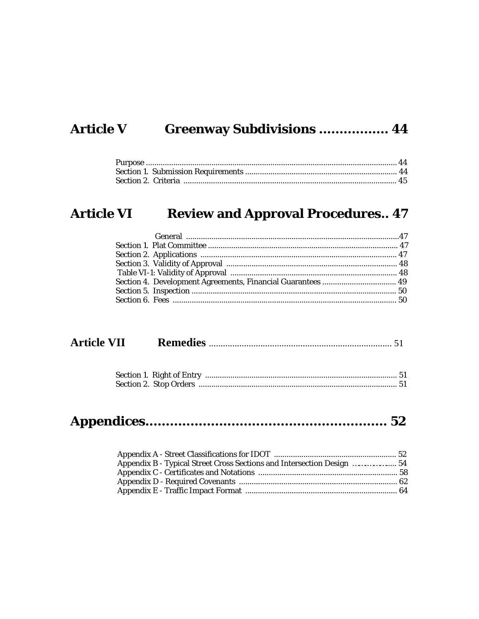# Article V Greenway Subdivisions ................. 44

# **Article VI Review and Approval Procedures.. 47**

| <b>Article VII</b> |  |
|--------------------|--|
|--------------------|--|

|--|

| Appendix B - Typical Street Cross Sections and Intersection Design  54 |  |
|------------------------------------------------------------------------|--|
|                                                                        |  |
|                                                                        |  |
|                                                                        |  |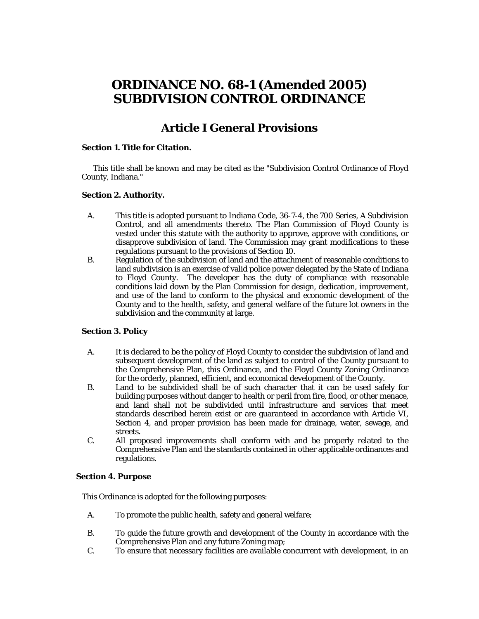# **ORDINANCE NO. 68-1 (Amended 2005) SUBDIVISION CONTROL ORDINANCE**

### **Article I General Provisions**

#### **Section 1. Title for Citation.**

This title shall be known and may be cited as the "Subdivision Control Ordinance of Floyd County, Indiana."

#### **Section 2. Authority.**

- A. This title is adopted pursuant to Indiana Code, 36-7-4, the 700 Series, A Subdivision Control, and all amendments thereto. The Plan Commission of Floyd County is vested under this statute with the authority to approve, approve with conditions, or disapprove subdivision of land. The Commission may grant modifications to these regulations pursuant to the provisions of Section 10.
- B. Regulation of the subdivision of land and the attachment of reasonable conditions to land subdivision is an exercise of valid police power delegated by the State of Indiana to Floyd County. The developer has the duty of compliance with reasonable conditions laid down by the Plan Commission for design, dedication, improvement, and use of the land to conform to the physical and economic development of the County and to the health, safety, and general welfare of the future lot owners in the subdivision and the community at large.

#### **Section 3. Policy**

- A. It is declared to be the policy of Floyd County to consider the subdivision of land and subsequent development of the land as subject to control of the County pursuant to the Comprehensive Plan, this Ordinance, and the Floyd County Zoning Ordinance for the orderly, planned, efficient, and economical development of the County.
- B. Land to be subdivided shall be of such character that it can be used safely for building purposes without danger to health or peril from fire, flood, or other menace, and land shall not be subdivided until infrastructure and services that meet standards described herein exist or are guaranteed in accordance with Article VI, Section 4, and proper provision has been made for drainage, water, sewage, and streets.
- C. All proposed improvements shall conform with and be properly related to the Comprehensive Plan and the standards contained in other applicable ordinances and regulations.

#### **Section 4. Purpose**

This Ordinance is adopted for the following purposes:

- A. To promote the public health, safety and general welfare;
- B. To guide the future growth and development of the County in accordance with the Comprehensive Plan and any future Zoning map;
- C. To ensure that necessary facilities are available concurrent with development, in an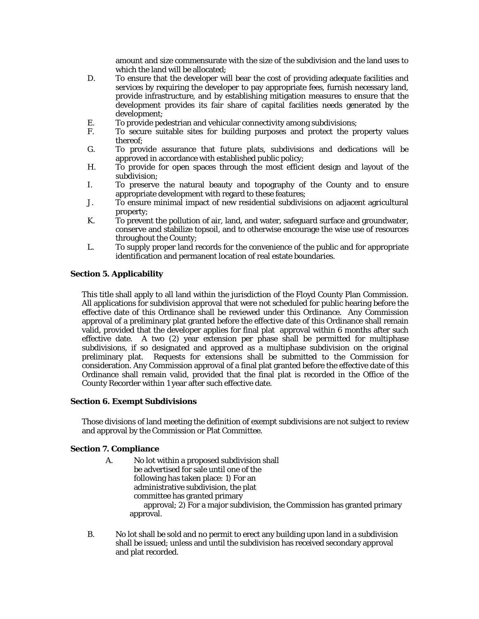amount and size commensurate with the size of the subdivision and the land uses to which the land will be allocated;

- D. To ensure that the developer will bear the cost of providing adequate facilities and services by requiring the developer to pay appropriate fees, furnish necessary land, provide infrastructure, and by establishing mitigation measures to ensure that the development provides its fair share of capital facilities needs generated by the development;
- E. To provide pedestrian and vehicular connectivity among subdivisions;
- F. To secure suitable sites for building purposes and protect the property values thereof;
- G. To provide assurance that future plats, subdivisions and dedications will be approved in accordance with established public policy;
- H. To provide for open spaces through the most efficient design and layout of the subdivision;
- I. To preserve the natural beauty and topography of the County and to ensure appropriate development with regard to these features;
- J. To ensure minimal impact of new residential subdivisions on adjacent agricultural property;
- K. To prevent the pollution of air, land, and water, safeguard surface and groundwater, conserve and stabilize topsoil, and to otherwise encourage the wise use of resources throughout the County;
- L. To supply proper land records for the convenience of the public and for appropriate identification and permanent location of real estate boundaries.

#### **Section 5. Applicability**

This title shall apply to all land within the jurisdiction of the Floyd County Plan Commission. All applications for subdivision approval that were not scheduled for public hearing before the effective date of this Ordinance shall be reviewed under this Ordinance. Any Commission approval of a preliminary plat granted before the effective date of this Ordinance shall remain valid, provided that the developer applies for final plat approval within 6 months after such effective date. A two (2) year extension per phase shall be permitted for multiphase subdivisions, if so designated and approved as a multiphase subdivision on the original preliminary plat. Requests for extensions shall be submitted to the Commission for consideration. Any Commission approval of a final plat granted before the effective date of this Ordinance shall remain valid, provided that the final plat is recorded in the Office of the County Recorder within 1 year after such effective date.

#### **Section 6. Exempt Subdivisions**

Those divisions of land meeting the definition of exempt subdivisions are not subject to review and approval by the Commission or Plat Committee.

#### **Section 7. Compliance**

- A. No lot within a proposed subdivision shall be advertised for sale until one of the following has taken place: 1) For an administrative subdivision, the plat committee has granted primary approval; 2) For a major subdivision, the Commission has granted primary approval.
- B. No lot shall be sold and no permit to erect any building upon land in a subdivision shall be issued; unless and until the subdivision has received secondary approval and plat recorded.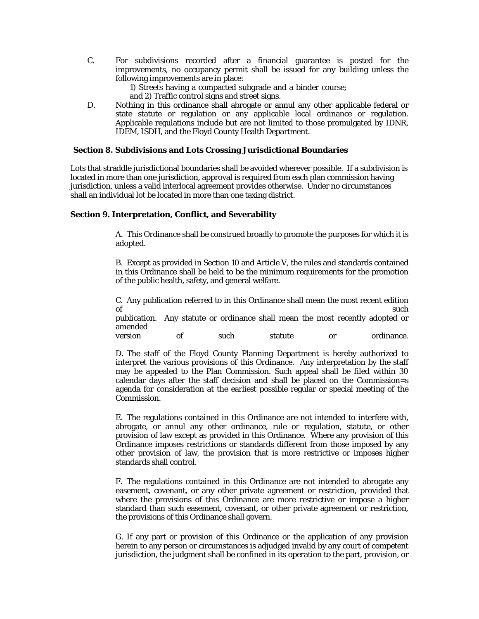C. For subdivisions recorded after a financial guarantee is posted for the improvements, no occupancy permit shall be issued for any building unless the following improvements are in place:

> 1) Streets having a compacted subgrade and a binder course; and 2) Traffic control signs and street signs.

D. Nothing in this ordinance shall abrogate or annul any other applicable federal or state statute or regulation or any applicable local ordinance or regulation. Applicable regulations include but are not limited to those promulgated by IDNR, IDEM, ISDH, and the Floyd County Health Department.

#### **Section 8. Subdivisions and Lots Crossing Jurisdictional Boundaries**

Lots that straddle jurisdictional boundaries shall be avoided wherever possible. If a subdivision is located in more than one jurisdiction, approval is required from each plan commission having jurisdiction, unless a valid interlocal agreement provides otherwise. Under no circumstances shall an individual lot be located in more than one taxing district.

#### **Section 9. Interpretation, Conflict, and Severability**

A. This Ordinance shall be construed broadly to promote the purposes for which it is adopted.

B. Except as provided in Section 10 and Article V, the rules and standards contained in this Ordinance shall be held to be the minimum requirements for the promotion of the public health, safety, and general welfare.

C. Any publication referred to in this Ordinance shall mean the most recent edition of such such that  $\mathcal{S}$  such that  $\mathcal{S}$  is the such such such such that  $\mathcal{S}$  is the such such that  $\mathcal{S}$  is the such such that  $\mathcal{S}$  is the such such that  $\mathcal{S}$  is the such such that  $\mathcal{S}$  is the such

publication. Any statute or ordinance shall mean the most recently adopted or amended

version of such statute or ordinance.

D. The staff of the Floyd County Planning Department is hereby authorized to interpret the various provisions of this Ordinance. Any interpretation by the staff may be appealed to the Plan Commission. Such appeal shall be filed within 30 calendar days after the staff decision and shall be placed on the Commission=s agenda for consideration at the earliest possible regular or special meeting of the Commission.

E. The regulations contained in this Ordinance are not intended to interfere with, abrogate, or annul any other ordinance, rule or regulation, statute, or other provision of law except as provided in this Ordinance. Where any provision of this Ordinance imposes restrictions or standards different from those imposed by any other provision of law, the provision that is more restrictive or imposes higher standards shall control.

F. The regulations contained in this Ordinance are not intended to abrogate any easement, covenant, or any other private agreement or restriction, provided that where the provisions of this Ordinance are more restrictive or impose a higher standard than such easement, covenant, or other private agreement or restriction, the provisions of this Ordinance shall govern.

G. If any part or provision of this Ordinance or the application of any provision herein to any person or circumstances is adjudged invalid by any court of competent jurisdiction, the judgment shall be confined in its operation to the part, provision, or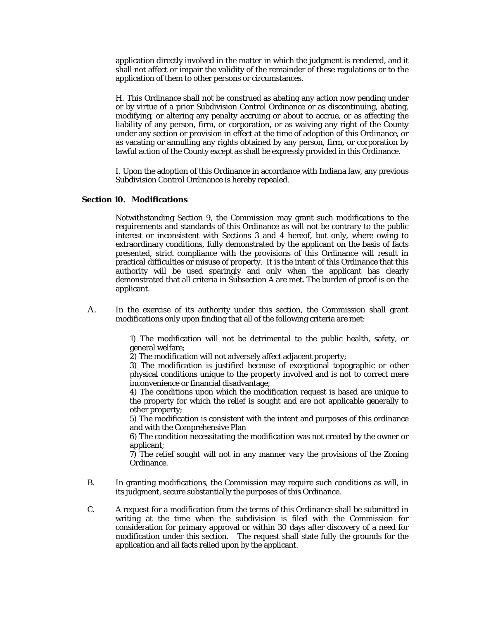application directly involved in the matter in which the judgment is rendered, and it shall not affect or impair the validity of the remainder of these regulations or to the application of them to other persons or circumstances.

H. This Ordinance shall not be construed as abating any action now pending under or by virtue of a prior Subdivision Control Ordinance or as discontinuing, abating, modifying, or altering any penalty accruing or about to accrue, or as affecting the liability of any person, firm, or corporation, or as waiving any right of the County under any section or provision in effect at the time of adoption of this Ordinance, or as vacating or annulling any rights obtained by any person, firm, or corporation by lawful action of the County except as shall be expressly provided in this Ordinance.

I. Upon the adoption of this Ordinance in accordance with Indiana law, any previous Subdivision Control Ordinance is hereby repealed.

#### **Section 10. Modifications**

Notwithstanding Section 9, the Commission may grant such modifications to the requirements and standards of this Ordinance as will not be contrary to the public interest or inconsistent with Sections 3 and 4 hereof, but only, where owing to extraordinary conditions, fully demonstrated by the applicant on the basis of facts presented, strict compliance with the provisions of this Ordinance will result in practical difficulties or misuse of property. It is the intent of this Ordinance that this authority will be used sparingly and only when the applicant has clearly demonstrated that all criteria in Subsection A are met. The burden of proof is on the applicant.

A. In the exercise of its authority under this section, the Commission shall grant modifications only upon finding that all of the following criteria are met:

> 1) The modification will not be detrimental to the public health, safety, or general welfare;

2) The modification will not adversely affect adjacent property;

3) The modification is justified because of exceptional topographic or other physical conditions unique to the property involved and is not to correct mere inconvenience or financial disadvantage;

4) The conditions upon which the modification request is based are unique to the property for which the relief is sought and are not applicable generally to other property;

5) The modification is consistent with the intent and purposes of this ordinance and with the Comprehensive Plan

6) The condition necessitating the modification was not created by the owner or applicant;

7) The relief sought will not in any manner vary the provisions of the Zoning Ordinance.

- B. In granting modifications, the Commission may require such conditions as will, in its judgment, secure substantially the purposes of this Ordinance.
- C. A request for a modification from the terms of this Ordinance shall be submitted in writing at the time when the subdivision is filed with the Commission for consideration for primary approval or within 30 days after discovery of a need for modification under this section. The request shall state fully the grounds for the application and all facts relied upon by the applicant.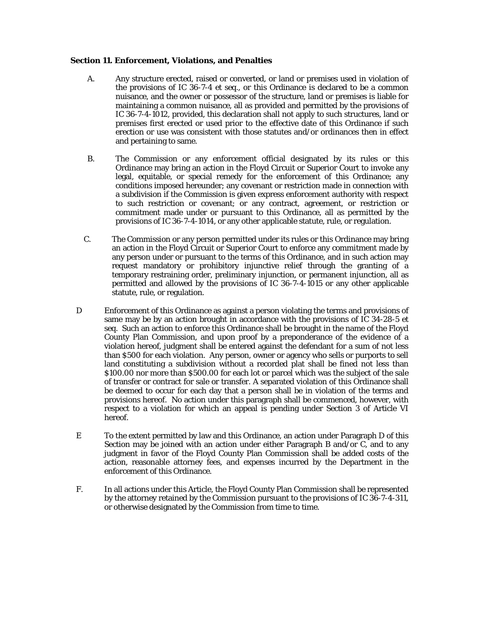#### **Section 11. Enforcement, Violations, and Penalties**

- A. Any structure erected, raised or converted, or land or premises used in violation of the provisions of IC 36-7-4 *et seq.,* or this Ordinance is declared to be a common nuisance, and the owner or possessor of the structure, land or premises is liable for maintaining a common nuisance, all as provided and permitted by the provisions of IC 36-7-4-1012, provided, this declaration shall not apply to such structures, land or premises first erected or used prior to the effective date of this Ordinance if such erection or use was consistent with those statutes and/or ordinances then in effect and pertaining to same.
- B. The Commission or any enforcement official designated by its rules or this Ordinance may bring an action in the Floyd Circuit or Superior Court to invoke any legal, equitable, or special remedy for the enforcement of this Ordinance; any conditions imposed hereunder; any covenant or restriction made in connection with a subdivision if the Commission is given express enforcement authority with respect to such restriction or covenant; or any contract, agreement, or restriction or commitment made under or pursuant to this Ordinance, all as permitted by the provisions of IC 36-7-4-1014, or any other applicable statute, rule, or regulation.
- C. The Commission or any person permitted under its rules or this Ordinance may bring an action in the Floyd Circuit or Superior Court to enforce any commitment made by any person under or pursuant to the terms of this Ordinance, and in such action may request mandatory or prohibitory injunctive relief through the granting of a temporary restraining order, preliminary injunction, or permanent injunction, all as permitted and allowed by the provisions of IC 36-7-4-1015 or any other applicable statute, rule, or regulation.
- D Enforcement of this Ordinance as against a person violating the terms and provisions of same may be by an action brought in accordance with the provisions of IC 34-28-5 *et seq.* Such an action to enforce this Ordinance shall be brought in the name of the Floyd County Plan Commission, and upon proof by a preponderance of the evidence of a violation hereof, judgment shall be entered against the defendant for a sum of not less than \$500 for each violation. Any person, owner or agency who sells or purports to sell land constituting a subdivision without a recorded plat shall be fined not less than \$100.00 nor more than \$500.00 for each lot or parcel which was the subject of the sale of transfer or contract for sale or transfer. A separated violation of this Ordinance shall be deemed to occur for each day that a person shall be in violation of the terms and provisions hereof. No action under this paragraph shall be commenced, however, with respect to a violation for which an appeal is pending under Section 3 of Article VI hereof.
- E To the extent permitted by law and this Ordinance, an action under Paragraph D of this Section may be joined with an action under either Paragraph B and/or C, and to any judgment in favor of the Floyd County Plan Commission shall be added costs of the action, reasonable attorney fees, and expenses incurred by the Department in the enforcement of this Ordinance.
- F. In all actions under this Article, the Floyd County Plan Commission shall be represented by the attorney retained by the Commission pursuant to the provisions of IC 36-7-4-311, or otherwise designated by the Commission from time to time.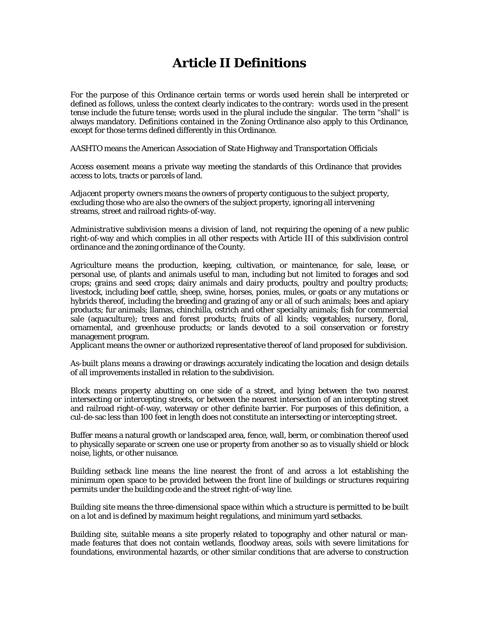# **Article II Definitions**

For the purpose of this Ordinance certain terms or words used herein shall be interpreted or defined as follows, unless the context clearly indicates to the contrary: words used in the present tense include the future tense; words used in the plural include the singular. The term "shall" is always mandatory. Definitions contained in the Zoning Ordinance also apply to this Ordinance, except for those terms defined differently in this Ordinance.

*AASHTO* means the American Association of State Highway and Transportation Officials

*Access easement* means a private way meeting the standards of this Ordinance that provides access to lots, tracts or parcels of land.

*Adjacent property owners* means the owners of property contiguous to the subject property, excluding those who are also the owners of the subject property, ignoring all intervening streams, street and railroad rights-of-way.

*Administrative subdivision* means a division of land, not requiring the opening of a new public right-of-way and which complies in all other respects with Article III of this subdivision control ordinance and the zoning ordinance of the County.

*Agriculture* means the production, keeping, cultivation, or maintenance, for sale, lease, or personal use, of plants and animals useful to man, including but not limited to forages and sod crops; grains and seed crops; dairy animals and dairy products, poultry and poultry products; livestock, including beef cattle, sheep, swine, horses, ponies, mules, or goats or any mutations or hybrids thereof, including the breeding and grazing of any or all of such animals; bees and apiary products; fur animals; llamas, chinchilla, ostrich and other specialty animals; fish for commercial sale (aquaculture); trees and forest products; fruits of all kinds; vegetables; nursery, floral, ornamental, and greenhouse products; or lands devoted to a soil conservation or forestry management program.

*Applicant* means the owner or authorized representative thereof of land proposed for subdivision.

*As-built plans* means a drawing or drawings accurately indicating the location and design details of all improvements installed in relation to the subdivision.

*Block* means property abutting on one side of a street, and lying between the two nearest intersecting or intercepting streets, or between the nearest intersection of an intercepting street and railroad right-of-way, waterway or other definite barrier. For purposes of this definition, a cul-de-sac less than 100 feet in length does not constitute an intersecting or intercepting street.

*Buffer* means a natural growth or landscaped area, fence, wall, berm, or combination thereof used to physically separate or screen one use or property from another so as to visually shield or block noise, lights, or other nuisance.

*Building setback line* means the line nearest the front of and across a lot establishing the minimum open space to be provided between the front line of buildings or structures requiring permits under the building code and the street right-of-way line.

*Building site* means the three-dimensional space within which a structure is permitted to be built on a lot and is defined by maximum height regulations, and minimum yard setbacks.

*Building site, suitable* means a site properly related to topography and other natural or manmade features that does not contain wetlands, floodway areas, soils with severe limitations for foundations, environmental hazards, or other similar conditions that are adverse to construction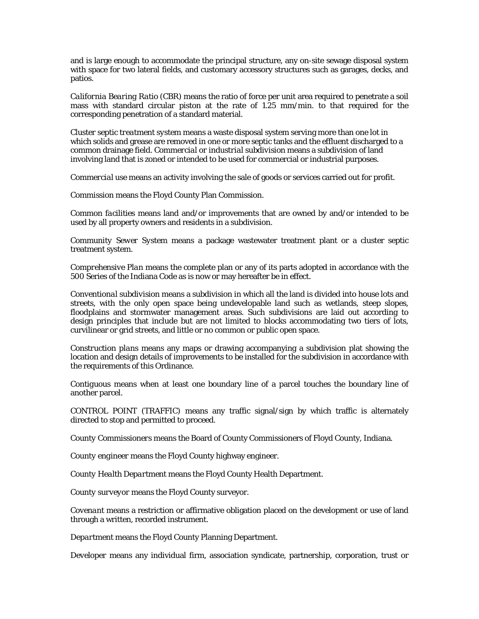and is large enough to accommodate the principal structure, any on-site sewage disposal system with space for two lateral fields, and customary accessory structures such as garages, decks, and patios.

*California Bearing Ratio (CBR)* means the ratio of force per unit area required to penetrate a soil mass with standard circular piston at the rate of 1.25 mm/min. to that required for the corresponding penetration of a standard material.

*Cluster septic treatment system* means a waste disposal system serving more than one lot in which solids and grease are removed in one or more septic tanks and the effluent discharged to a common drainage field. *Commercial or industrial subdivision* means a subdivision of land involving land that is zoned or intended to be used for commercial or industrial purposes.

*Commercial use* means an activity involving the sale of goods or services carried out for profit.

*Commission* means the Floyd County Plan Commission.

*Common facilities* means land and/or improvements that are owned by and/or intended to be used by all property owners and residents in a subdivision.

*Community Sewer System* means a package wastewater treatment plant or a cluster septic treatment system.

*Comprehensive Plan* means the complete plan or any of its parts adopted in accordance with the 500 Series of the Indiana Code as is now or may hereafter be in effect.

*Conventional subdivision* means a subdivision in which all the land is divided into house lots and streets, with the only open space being undevelopable land such as wetlands, steep slopes, floodplains and stormwater management areas. Such subdivisions are laid out according to design principles that include but are not limited to blocks accommodating two tiers of lots, curvilinear or grid streets, and little or no common or public open space.

*Construction plans* means any maps or drawing accompanying a subdivision plat showing the location and design details of improvements to be installed for the subdivision in accordance with the requirements of this Ordinance.

*Contiguous* means when at least one boundary line of a parcel touches the boundary line of another parcel.

*CONTROL POINT (TRAFFIC)* means any traffic signal/sign by which traffic is alternately directed to stop and permitted to proceed.

*County Commissioners* means the Board of County Commissioners of Floyd County, Indiana.

*County engineer* means the Floyd County highway engineer.

*County Health Department* means the Floyd County Health Department.

*County surveyor* means the Floyd County surveyor.

*Covenant* means a restriction or affirmative obligation placed on the development or use of land through a written, recorded instrument.

*Department* means the Floyd County Planning Department.

*Developer* means any individual firm, association syndicate, partnership, corporation, trust or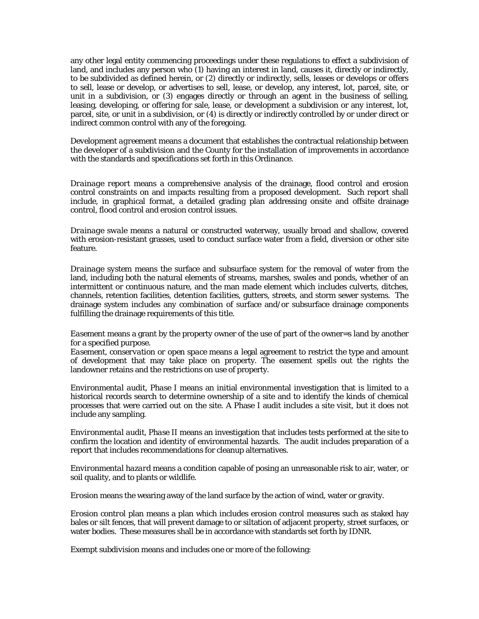any other legal entity commencing proceedings under these regulations to effect a subdivision of land, and includes any person who (1) having an interest in land, causes it, directly or indirectly, to be subdivided as defined herein, or (2) directly or indirectly, sells, leases or develops or offers to sell, lease or develop, or advertises to sell, lease, or develop, any interest, lot, parcel, site, or unit in a subdivision, or (3) engages directly or through an agent in the business of selling, leasing, developing, or offering for sale, lease, or development a subdivision or any interest, lot, parcel, site, or unit in a subdivision, or (4) is directly or indirectly controlled by or under direct or indirect common control with any of the foregoing.

*Development agreement* means a document that establishes the contractual relationship between the developer of a subdivision and the County for the installation of improvements in accordance with the standards and specifications set forth in this Ordinance.

*Drainage report* means a comprehensive analysis of the drainage, flood control and erosion control constraints on and impacts resulting from a proposed development. Such report shall include, in graphical format, a detailed grading plan addressing onsite and offsite drainage control, flood control and erosion control issues.

*Drainage swale* means a natural or constructed waterway, usually broad and shallow, covered with erosion-resistant grasses, used to conduct surface water from a field, diversion or other site feature.

*Drainage system* means the surface and subsurface system for the removal of water from the land, including both the natural elements of streams, marshes, swales and ponds, whether of an intermittent or continuous nature, and the man made element which includes culverts, ditches, channels, retention facilities, detention facilities, gutters, streets, and storm sewer systems. The drainage system includes any combination of surface and/or subsurface drainage components fulfilling the drainage requirements of this title.

*Easement* means a grant by the property owner of the use of part of the owner=s land by another for a specified purpose.

*Easement, conservation or open space* means a legal agreement to restrict the type and amount of development that may take place on property. The easement spells out the rights the landowner retains and the restrictions on use of property.

*Environmental audit, Phase I* means an initial environmental investigation that is limited to a historical records search to determine ownership of a site and to identify the kinds of chemical processes that were carried out on the site. A Phase I audit includes a site visit, but it does not include any sampling.

*Environmental audit, Phase II* means an investigation that includes tests performed at the site to confirm the location and identity of environmental hazards. The audit includes preparation of a report that includes recommendations for cleanup alternatives.

*Environmental hazard* means a condition capable of posing an unreasonable risk to air, water, or soil quality, and to plants or wildlife.

*Erosion* means the wearing away of the land surface by the action of wind, water or gravity.

*Erosion control* plan means a plan which includes erosion control measures such as staked hay bales or silt fences, that will prevent damage to or siltation of adjacent property, street surfaces, or water bodies. These measures shall be in accordance with standards set forth by IDNR.

*Exempt subdivision* means and includes one or more of the following: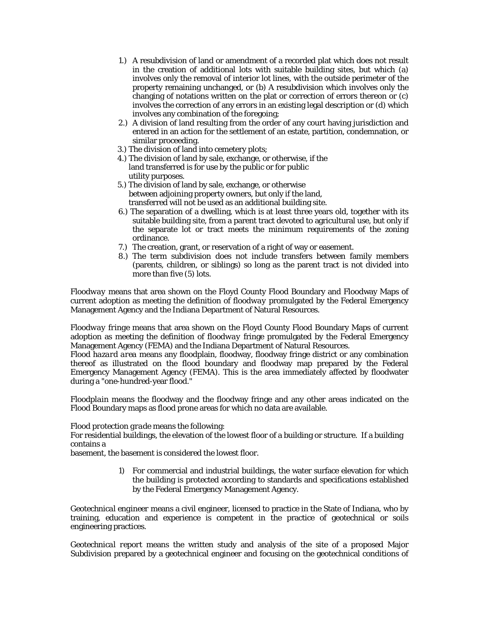- 1.) A resubdivision of land or amendment of a recorded plat which does not result in the creation of additional lots with suitable building sites, but which (a) involves only the removal of interior lot lines, with the outside perimeter of the property remaining unchanged, or (b) A resubdivision which involves only the changing of notations written on the plat or correction of errors thereon or (c) involves the correction of any errors in an existing legal description or (d) which involves any combination of the foregoing;
- 2.) A division of land resulting from the order of any court having jurisdiction and entered in an action for the settlement of an estate, partition, condemnation, or similar proceeding.
- 3.) The division of land into cemetery plots;
- 4.) The division of land by sale, exchange, or otherwise, if the land transferred is for use by the public or for public utility purposes.
- 5.) The division of land by sale, exchange, or otherwise between adjoining property owners, but only if the land, transferred will not be used as an additional building site.
- 6.) The separation of a dwelling, which is at least three years old, together with its suitable building site, from a parent tract devoted to agricultural use, but only if the separate lot or tract meets the minimum requirements of the zoning ordinance.
- 7.) The creation, grant, or reservation of a right of way or easement.
- 8.) The term subdivision does not include transfers between family members (parents, children, or siblings) so long as the parent tract is not divided into more than five (5) lots.

*Floodway* means that area shown on the Floyd County Flood Boundary and Floodway Maps of current adoption as meeting the definition of *floodway* promulgated by the Federal Emergency Management Agency and the Indiana Department of Natural Resources.

*Floodway fringe* means that area shown on the Floyd County Flood Boundary Maps of current adoption as meeting the definition of *floodway* fringe promulgated by the Federal Emergency Management Agency (FEMA) and the Indiana Department of Natural Resources.

*Flood hazard area* means any floodplain, floodway, floodway fringe district or any combination thereof as illustrated on the flood boundary and floodway map prepared by the Federal Emergency Management Agency (FEMA). This is the area immediately affected by floodwater during a "one-hundred-year flood."

*Floodplain* means the floodway and the floodway fringe and any other areas indicated on the Flood Boundary maps as flood prone areas for which no data are available.

#### *Flood protection grade* means the following:

For residential buildings, the elevation of the lowest floor of a building or structure. If a building contains a

basement, the basement is considered the lowest floor.

1) For commercial and industrial buildings, the water surface elevation for which the building is protected according to standards and specifications established by the Federal Emergency Management Agency.

*Geotechnical engineer* means a civil engineer, licensed to practice in the State of Indiana, who by training, education and experience is competent in the practice of geotechnical or soils engineering practices.

*Geotechnical report* means the written study and analysis of the site of a proposed Major Subdivision prepared by a geotechnical engineer and focusing on the geotechnical conditions of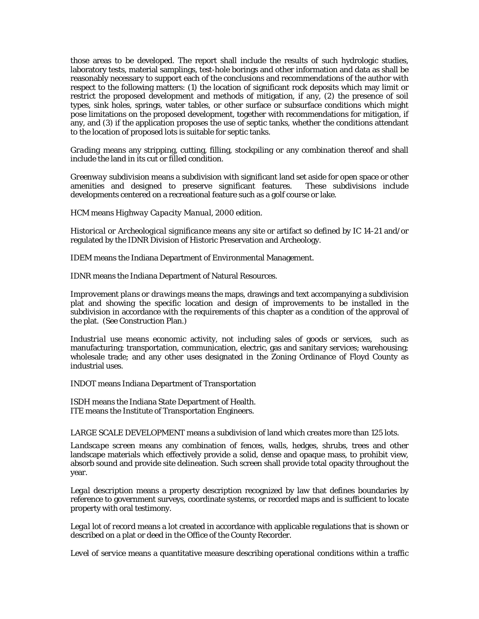those areas to be developed. The report shall include the results of such hydrologic studies, laboratory tests, material samplings, test-hole borings and other information and data as shall be reasonably necessary to support each of the conclusions and recommendations of the author with respect to the following matters: (1) the location of significant rock deposits which may limit or restrict the proposed development and methods of mitigation, if any, (2) the presence of soil types, sink holes, springs, water tables, or other surface or subsurface conditions which might pose limitations on the proposed development, together with recommendations for mitigation, if any, and (3) if the application proposes the use of septic tanks, whether the conditions attendant to the location of proposed lots is suitable for septic tanks.

*Grading* means any stripping, cutting, filling, stockpiling or any combination thereof and shall include the land in its cut or filled condition.

*Greenway subdivision* means a subdivision with significant land set aside for open space or other amenities and designed to preserve significant features. These subdivisions include developments centered on a recreational feature such as a golf course or lake.

*HCM* means *Highway Capacity Manual*, 2000 edition.

*Historical or Archeological significance* means any site or artifact so defined by IC 14-21 and/or regulated by the IDNR Division of Historic Preservation and Archeology.

*IDEM* means the Indiana Department of Environmental Management.

*IDNR* means the Indiana Department of Natural Resources.

*Improvement plans or drawings* means the maps, drawings and text accompanying a subdivision plat and showing the specific location and design of improvements to be installed in the subdivision in accordance with the requirements of this chapter as a condition of the approval of the plat. (See Construction Plan.)

*Industrial use* means economic activity, not including sales of goods or services, such as manufacturing; transportation, communication, electric, gas and sanitary services; warehousing; wholesale trade; and any other uses designated in the Zoning Ordinance of Floyd County as industrial uses.

*INDOT* means Indiana Department of Transportation

*ISDH* means the Indiana State Department of Health. *ITE* means the Institute of Transportation Engineers.

*LARGE SCALE DEVELOPMENT* means a subdivision of land which creates more than 125 lots.

*Landscape screen* means any combination of fences, walls, hedges, shrubs, trees and other landscape materials which effectively provide a solid, dense and opaque mass, to prohibit view, absorb sound and provide site delineation. Such screen shall provide total opacity throughout the year.

*Legal description* means a property description recognized by law that defines boundaries by reference to government surveys, coordinate systems, or recorded maps and is sufficient to locate property with oral testimony.

Legal lot of record means a lot created in accordance with applicable regulations that is shown or described on a plat or deed in the Office of the County Recorder.

*Level of service* means a quantitative measure describing operational conditions within a traffic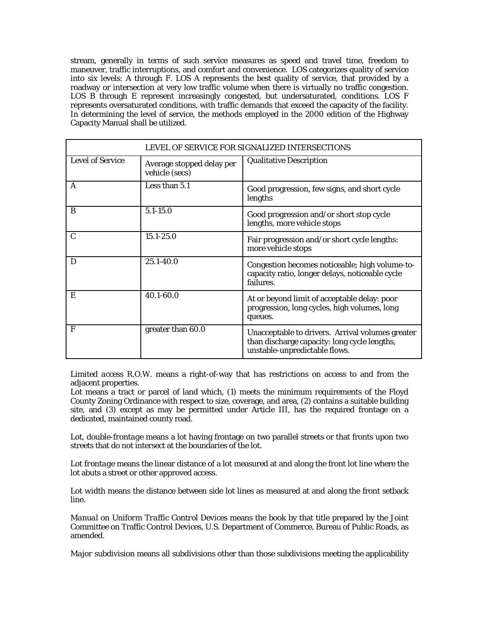stream, generally in terms of such service measures as speed and travel time, freedom to maneuver, traffic interruptions, and comfort and convenience. LOS categorizes quality of service into six levels: A through F. LOS A represents the best quality of service, that provided by a roadway or intersection at very low traffic volume when there is virtually no traffic congestion. LOS B through E represent increasingly congested, but undersaturated, conditions. LOS F represents oversaturated conditions, with traffic demands that exceed the capacity of the facility. In determining the level of service, the methods employed in the 2000 edition of the Highway Capacity Manual shall be utilized.

| LEVEL OF SERVICE FOR SIGNALIZED INTERSECTIONS |                                             |                                                                                                                                   |  |  |
|-----------------------------------------------|---------------------------------------------|-----------------------------------------------------------------------------------------------------------------------------------|--|--|
| <b>Level of Service</b>                       | Average stopped delay per<br>vehicle (secs) | <b>Qualitative Description</b>                                                                                                    |  |  |
| A                                             | Less than 5.1                               | Good progression, few signs, and short cycle<br>lengths                                                                           |  |  |
| B                                             | $5.1 - 15.0$                                | Good progression and/or short stop cycle<br>lengths, more vehicle stops                                                           |  |  |
| $\mathbf C$                                   | $15.1 - 25.0$                               | Fair progression and/or short cycle lengths:<br>more vehicle stops                                                                |  |  |
| D                                             | 25.1-40.0                                   | Congestion becomes noticeable; high volume-to-<br>capacity ratio, longer delays, noticeable cycle<br>failures.                    |  |  |
| E                                             | 40.1-60.0                                   | At or beyond limit of acceptable delay: poor<br>progression, long cycles, high volumes, long<br>queues.                           |  |  |
| F                                             | greater than 60.0                           | Unacceptable to drivers. Arrival volumes greater<br>than discharge capacity: long cycle lengths,<br>unstable-unpredictable flows. |  |  |

*Limited access R.O.W.* means a right-of-way that has restrictions on access to and from the adjacent properties.

Lot means a tract or parcel of land which, (1) meets the minimum requirements of the Floyd County Zoning Ordinance with respect to size, coverage, and area, (2) contains a suitable building site, and (3) except as may be permitted under Article III, has the required frontage on a dedicated, maintained county road.

*Lot, double-frontage* means a lot having frontage on two parallel streets or that fronts upon two streets that do not intersect at the boundaries of the lot.

*Lot frontage* means the linear distance of a lot measured at and along the front lot line where the lot abuts a street or other approved access.

*Lot width* means the distance between side lot lines as measured at and along the front setback line.

*Manual on Uniform Traffic Control Devices* means the book by that title prepared by the Joint Committee on Traffic Control Devices, U.S. Department of Commerce, Bureau of Public Roads, as amended.

*Major subdivision* means all subdivisions other than those subdivisions meeting the applicability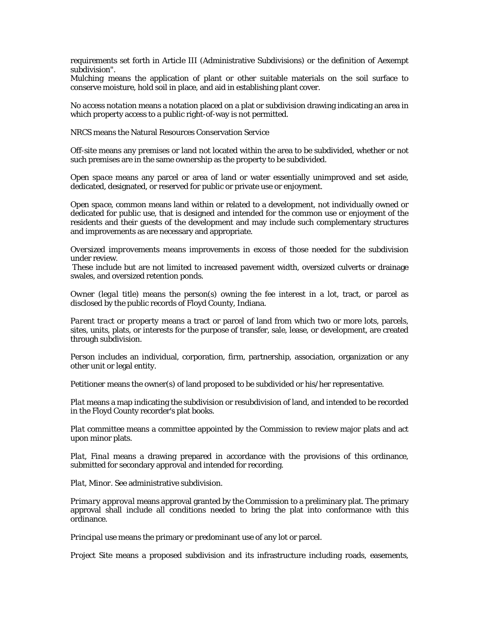requirements set forth in Article III (Administrative Subdivisions) or the definition of Aexempt subdivision".

*Mulching* means the application of plant or other suitable materials on the soil surface to conserve moisture, hold soil in place, and aid in establishing plant cover.

*No access notation* means a notation placed on a plat or subdivision drawing indicating an area in which property access to a public right-of-way is not permitted.

*NRCS* means the Natural Resources Conservation Service

*Off-site* means any premises or land not located within the area to be subdivided, whether or not such premises are in the same ownership as the property to be subdivided.

*Open space* means any parcel or area of land or water essentially unimproved and set aside, dedicated, designated, or reserved for public or private use or enjoyment.

*Open space, common* means land within or related to a development, not individually owned or dedicated for public use, that is designed and intended for the common use or enjoyment of the residents and their guests of the development and may include such complementary structures and improvements as are necessary and appropriate.

*Oversized improvements* means improvements in excess of those needed for the subdivision under review.

These include but are not limited to increased pavement width, oversized culverts or drainage swales, and oversized retention ponds.

*Owner (legal title)* means the person(s) owning the fee interest in a lot, tract, or parcel as disclosed by the public records of Floyd County, Indiana.

*Parent tract or property* means a tract or parcel of land from which two or more lots, parcels, sites, units, plats, or interests for the purpose of transfer, sale, lease, or development, are created through subdivision.

*Person* includes an individual, corporation, firm, partnership, association, organization or any other unit or legal entity.

*Petitioner* means the owner(s) of land proposed to be subdivided or his/her representative.

*Plat* means a map indicating the subdivision or resubdivision of land, and intended to be recorded in the Floyd County recorder's plat books.

*Plat committee* means a committee appointed by the Commission to review major plats and act upon minor plats.

*Plat, Final* means a drawing prepared in accordance with the provisions of this ordinance, submitted for secondary approval and intended for recording.

*Plat, Minor*. See administrative subdivision.

*Primary approval* means approval granted by the Commission to a preliminary plat. The primary approval shall include all conditions needed to bring the plat into conformance with this ordinance.

*Principal use* means the primary or predominant use of any lot or parcel.

*Project Site* means a proposed subdivision and its infrastructure including roads, easements,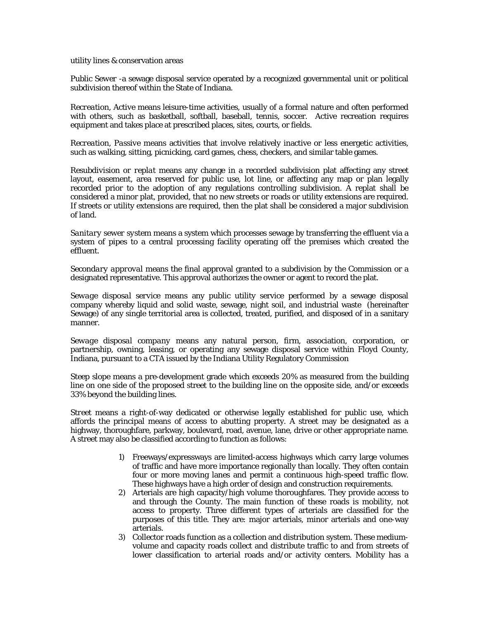utility lines & conservation areas

*Public Sewer* -a sewage disposal service operated by a recognized governmental unit or political subdivision thereof within the State of Indiana.

*Recreation, Active* means leisure-time activities, usually of a formal nature and often performed with others, such as basketball, softball, baseball, tennis, soccer. Active recreation requires equipment and takes place at prescribed places, sites, courts, or fields.

*Recreation, Passive* means activities that involve relatively inactive or less energetic activities, such as walking, sitting, picnicking, card games, chess, checkers, and similar table games.

*Resubdivision or replat* means any change in a recorded subdivision plat affecting any street layout, easement, area reserved for public use, lot line, or affecting any map or plan legally recorded prior to the adoption of any regulations controlling subdivision. A replat shall be considered a minor plat, provided, that no new streets or roads or utility extensions are required. If streets or utility extensions are required, then the plat shall be considered a major subdivision of land.

*Sanitary sewer system* means a system which processes sewage by transferring the effluent via a system of pipes to a central processing facility operating off the premises which created the effluent.

*Secondary approval* means the final approval granted to a subdivision by the Commission or a designated representative. This approval authorizes the owner or agent to record the plat.

*Sewage disposal service* means any public utility service performed by a sewage disposal company whereby liquid and solid waste, sewage, night soil, and industrial waste (hereinafter Sewage) of any single territorial area is collected, treated, purified, and disposed of in a sanitary manner.

*Sewage disposal company* means any natural person, firm, association, corporation, or partnership, owning, leasing, or operating any sewage disposal service within Floyd County, Indiana, pursuant to a CTA issued by the Indiana Utility Regulatory Commission

*Steep slope* means a pre-development grade which exceeds 20% as measured from the building line on one side of the proposed street to the building line on the opposite side, and/or exceeds 33% beyond the building lines.

*Street* means a right-of-way dedicated or otherwise legally established for public use, which affords the principal means of access to abutting property. A street may be designated as a highway, thoroughfare, parkway, boulevard, road, avenue, lane, drive or other appropriate name. A street may also be classified according to function as follows:

- 1) Freeways/expressways are limited-access highways which carry large volumes of traffic and have more importance regionally than locally. They often contain four or more moving lanes and permit a continuous high-speed traffic flow. These highways have a high order of design and construction requirements.
- 2) Arterials are high capacity/high volume thoroughfares. They provide access to and through the County. The main function of these roads is mobility, not access to property. Three different types of arterials are classified for the purposes of this title. They are: major arterials, minor arterials and one-way arterials.
- 3) Collector roads function as a collection and distribution system. These mediumvolume and capacity roads collect and distribute traffic to and from streets of lower classification to arterial roads and/or activity centers. Mobility has a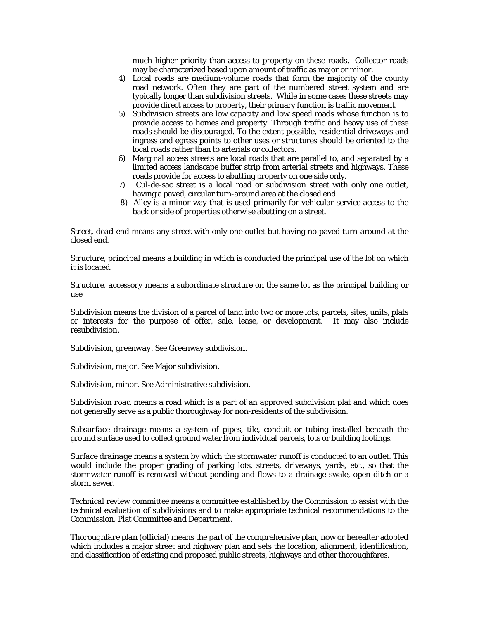much higher priority than access to property on these roads. Collector roads may be characterized based upon amount of traffic as major or minor.

- 4) Local roads are medium-volume roads that form the majority of the county road network. Often they are part of the numbered street system and are typically longer than subdivision streets. While in some cases these streets may provide direct access to property, their primary function is traffic movement.
- 5) Subdivision streets are low capacity and low speed roads whose function is to provide access to homes and property. Through traffic and heavy use of these roads should be discouraged. To the extent possible, residential driveways and ingress and egress points to other uses or structures should be oriented to the local roads rather than to arterials or collectors.
- 6) Marginal access streets are local roads that are parallel to, and separated by a limited access landscape buffer strip from arterial streets and highways. These roads provide for access to abutting property on one side only.
- 7) Cul-de-sac street is a local road or subdivision street with only one outlet, having a paved, circular turn-around area at the closed end.
- 8) Alley is a minor way that is used primarily for vehicular service access to the back or side of properties otherwise abutting on a street.

*Street, dead-end* means any street with only one outlet but having no paved turn-around at the closed end.

*Structure, principal* means a building in which is conducted the principal use of the lot on which it is located.

*Structure, accessory* means a subordinate structure on the same lot as the principal building or use

*Subdivision* means the division of a parcel of land into two or more lots, parcels, sites, units, plats or interests for the purpose of offer, sale, lease, or development. It may also include resubdivision.

*Subdivision, greenway*. See Greenway subdivision.

*Subdivision, major*. See Major subdivision.

*Subdivision, minor*. See Administrative subdivision.

*Subdivision road* means a road which is a part of an approved subdivision plat and which does not generally serve as a public thoroughway for non-residents of the subdivision.

*Subsurface drainage* means a system of pipes, tile, conduit or tubing installed beneath the ground surface used to collect ground water from individual parcels, lots or building footings.

*Surface drainage* means a system by which the stormwater runoff is conducted to an outlet. This would include the proper grading of parking lots, streets, driveways, yards, etc., so that the stormwater runoff is removed without ponding and flows to a drainage swale, open ditch or a storm sewer.

*Technical review committee* means a committee established by the Commission to assist with the technical evaluation of subdivisions and to make appropriate technical recommendations to the Commission, Plat Committee and Department.

*Thoroughfare plan (official)* means the part of the comprehensive plan, now or hereafter adopted which includes a major street and highway plan and sets the location, alignment, identification, and classification of existing and proposed public streets, highways and other thoroughfares.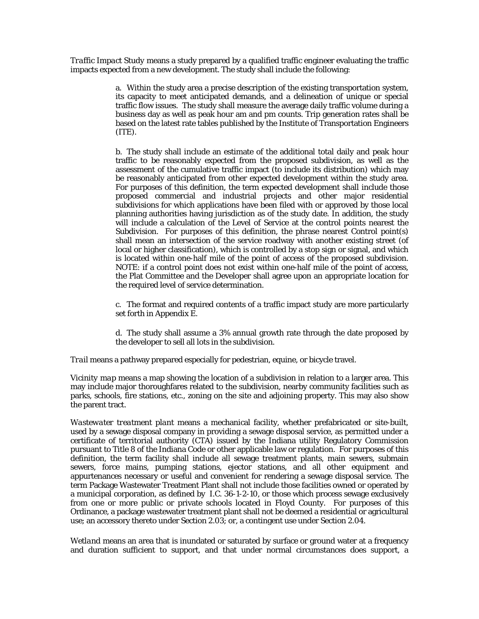*Traffic Impact Study* means a study prepared by a qualified traffic engineer evaluating the traffic impacts expected from a new development. The study shall include the following:

> a. Within the study area a precise description of the existing transportation system, its capacity to meet anticipated demands, and a delineation of unique or special traffic flow issues. The study shall measure the average daily traffic volume during a business day as well as peak hour am and pm counts. Trip generation rates shall be based on the latest rate tables published by the Institute of Transportation Engineers (ITE).

> b. The study shall include an estimate of the additional total daily and peak hour traffic to be reasonably expected from the proposed subdivision, as well as the assessment of the cumulative traffic impact (to include its distribution) which may be reasonably anticipated from other expected development within the study area. For purposes of this definition, the term expected development shall include those proposed commercial and industrial projects and other major residential subdivisions for which applications have been filed with or approved by those local planning authorities having jurisdiction as of the study date. In addition, the study will include a calculation of the Level of Service at the control points nearest the Subdivision. For purposes of this definition, the phrase nearest Control point(s) shall mean an intersection of the service roadway with another existing street (of local or higher classification), which is controlled by a stop sign or signal, and which is located within one-half mile of the point of access of the proposed subdivision. NOTE: if a control point does not exist within one-half mile of the point of access, the Plat Committee and the Developer shall agree upon an appropriate location for the required level of service determination.

> c. The format and required contents of a traffic impact study are more particularly set forth in Appendix E.

> d. The study shall assume a 3% annual growth rate through the date proposed by the developer to sell all lots in the subdivision.

*Trail* means a pathway prepared especially for pedestrian, equine, or bicycle travel.

*Vicinity map* means a map showing the location of a subdivision in relation to a larger area. This may include major thoroughfares related to the subdivision, nearby community facilities such as parks, schools, fire stations, etc., zoning on the site and adjoining property. This may also show the parent tract.

*Wastewater treatment plant* means a mechanical facility, whether prefabricated or site-built, used by a sewage disposal company in providing a sewage disposal service, as permitted under a certificate of territorial authority (CTA) issued by the Indiana utility Regulatory Commission pursuant to Title 8 of the Indiana Code or other applicable law or regulation. For purposes of this definition, the term facility shall include all sewage treatment plants, main sewers, submain sewers, force mains, pumping stations, ejector stations, and all other equipment and appurtenances necessary or useful and convenient for rendering a sewage disposal service. The term Package Wastewater Treatment Plant shall not include those facilities owned or operated by a municipal corporation, as defined by I.C. 36-1-2-10, or those which process sewage exclusively from one or more public or private schools located in Floyd County. For purposes of this Ordinance, a package wastewater treatment plant shall not be deemed a residential or agricultural use; an accessory thereto under Section 2.03; or, a contingent use under Section 2.04.

*Wetland* means an area that is inundated or saturated by surface or ground water at a frequency and duration sufficient to support, and that under normal circumstances does support, a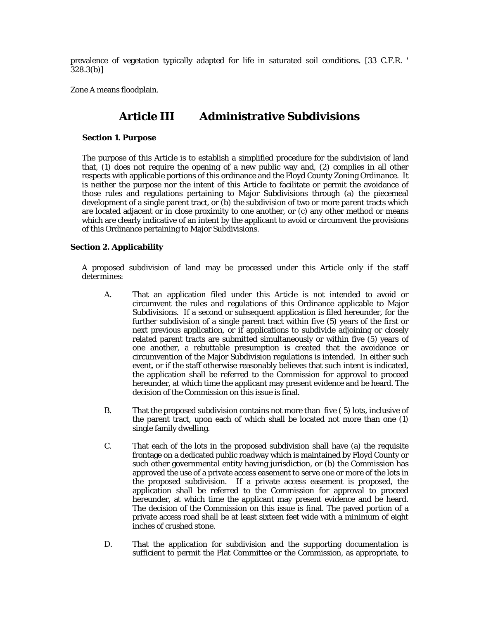prevalence of vegetation typically adapted for life in saturated soil conditions. [33 C.F.R. '  $328.3(b)$ ]

*Zone A* means floodplain.

### **Article III Administrative Subdivisions**

#### **Section 1. Purpose**

The purpose of this Article is to establish a simplified procedure for the subdivision of land that, (1) does not require the opening of a new public way and, (2) complies in all other respects with applicable portions of this ordinance and the Floyd County Zoning Ordinance. It is neither the purpose nor the intent of this Article to facilitate or permit the avoidance of those rules and regulations pertaining to Major Subdivisions through (a) the piecemeal development of a single parent tract, or (b) the subdivision of two or more parent tracts which are located adjacent or in close proximity to one another, or (c) any other method or means which are clearly indicative of an intent by the applicant to avoid or circumvent the provisions of this Ordinance pertaining to Major Subdivisions.

#### **Section 2. Applicability**

A proposed subdivision of land may be processed under this Article only if the staff determines:

- A. That an application filed under this Article is not intended to avoid or circumvent the rules and regulations of this Ordinance applicable to Major Subdivisions. If a second or subsequent application is filed hereunder, for the further subdivision of a single parent tract within five (5) years of the first or next previous application, or if applications to subdivide adjoining or closely related parent tracts are submitted simultaneously or within five (5) years of one another, a rebuttable presumption is created that the avoidance or circumvention of the Major Subdivision regulations is intended. In either such event, or if the staff otherwise reasonably believes that such intent is indicated, the application shall be referred to the Commission for approval to proceed hereunder, at which time the applicant may present evidence and be heard. The decision of the Commission on this issue is final.
- B. That the proposed subdivision contains not more than five ( 5) lots, inclusive of the parent tract, upon each of which shall be located not more than one (1) single family dwelling.
- C. That each of the lots in the proposed subdivision shall have (a) the requisite frontage on a dedicated public roadway which is maintained by Floyd County or such other governmental entity having jurisdiction, or (b) the Commission has approved the use of a private access easement to serve one or more of the lots in the proposed subdivision. If a private access easement is proposed, the application shall be referred to the Commission for approval to proceed hereunder, at which time the applicant may present evidence and be heard. The decision of the Commission on this issue is final. The paved portion of a private access road shall be at least sixteen feet wide with a minimum of eight inches of crushed stone.
- D. That the application for subdivision and the supporting documentation is sufficient to permit the Plat Committee or the Commission, as appropriate, to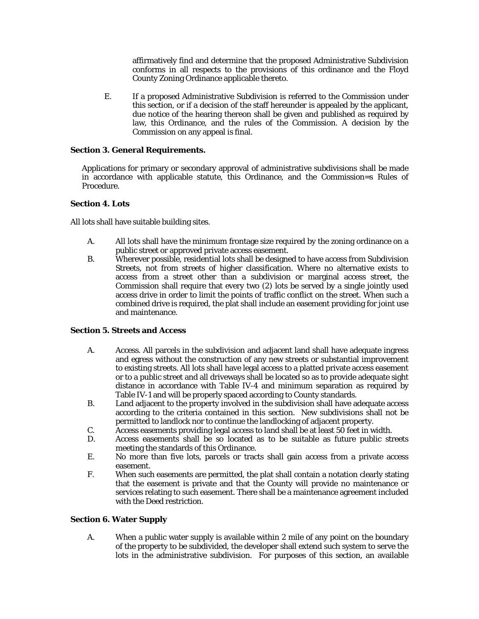affirmatively find and determine that the proposed Administrative Subdivision conforms in all respects to the provisions of this ordinance and the Floyd County Zoning Ordinance applicable thereto.

E. If a proposed Administrative Subdivision is referred to the Commission under this section, or if a decision of the staff hereunder is appealed by the applicant, due notice of the hearing thereon shall be given and published as required by law, this Ordinance, and the rules of the Commission. A decision by the Commission on any appeal is final.

#### **Section 3. General Requirements.**

Applications for primary or secondary approval of administrative subdivisions shall be made in accordance with applicable statute, this Ordinance, and the Commission=s Rules of Procedure.

#### **Section 4. Lots**

All lots shall have suitable building sites.

- A. All lots shall have the minimum frontage size required by the zoning ordinance on a public street or approved private access easement.
- B. Wherever possible, residential lots shall be designed to have access from Subdivision Streets, not from streets of higher classification. Where no alternative exists to access from a street other than a subdivision or marginal access street, the Commission shall require that every two (2) lots be served by a single jointly used access drive in order to limit the points of traffic conflict on the street. When such a combined drive is required, the plat shall include an easement providing for joint use and maintenance.

#### **Section 5. Streets and Access**

- A. Access. All parcels in the subdivision and adjacent land shall have adequate ingress and egress without the construction of any new streets or substantial improvement to existing streets. All lots shall have legal access to a platted private access easement or to a public street and all driveways shall be located so as to provide adequate sight distance in accordance with Table IV-4 and minimum separation as required by Table IV-1 and will be properly spaced according to County standards.
- B. Land adjacent to the property involved in the subdivision shall have adequate access according to the criteria contained in this section. New subdivisions shall not be permitted to landlock nor to continue the landlocking of adjacent property.
- C. Access easements providing legal access to land shall be at least 50 feet in width.
- D. Access easements shall be so located as to be suitable as future public streets meeting the standards of this Ordinance.
- E. No more than five lots, parcels or tracts shall gain access from a private access easement.
- F. When such easements are permitted, the plat shall contain a notation clearly stating that the easement is private and that the County will provide no maintenance or services relating to such easement. There shall be a maintenance agreement included with the Deed restriction.

### **Section 6. Water Supply**

A. When a public water supply is available within 2 mile of any point on the boundary of the property to be subdivided, the developer shall extend such system to serve the lots in the administrative subdivision. For purposes of this section, an available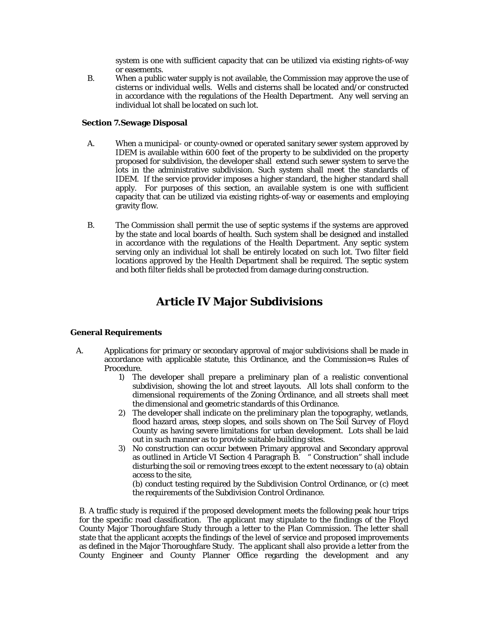system is one with sufficient capacity that can be utilized via existing rights-of-way or easements.

B. When a public water supply is not available, the Commission may approve the use of cisterns or individual wells. Wells and cisterns shall be located and/or constructed in accordance with the regulations of the Health Department. Any well serving an individual lot shall be located on such lot.

#### **Section 7.Sewage Disposal**

- A. When a municipal- or county-owned or operated sanitary sewer system approved by IDEM is available within 600 feet of the property to be subdivided on the property proposed for subdivision, the developer shall extend such sewer system to serve the lots in the administrative subdivision. Such system shall meet the standards of IDEM. If the service provider imposes a higher standard, the higher standard shall apply. For purposes of this section, an available system is one with sufficient capacity that can be utilized via existing rights-of-way or easements and employing gravity flow.
- B. The Commission shall permit the use of septic systems if the systems are approved by the state and local boards of health. Such system shall be designed and installed in accordance with the regulations of the Health Department. Any septic system serving only an individual lot shall be entirely located on such lot. Two filter field locations approved by the Health Department shall be required. The septic system and both filter fields shall be protected from damage during construction.

## **Article IV Major Subdivisions**

#### **General Requirements**

- A. Applications for primary or secondary approval of major subdivisions shall be made in accordance with applicable statute, this Ordinance, and the Commission=s Rules of Procedure.
	- 1) The developer shall prepare a preliminary plan of a realistic conventional subdivision, showing the lot and street layouts. All lots shall conform to the dimensional requirements of the Zoning Ordinance, and all streets shall meet the dimensional and geometric standards of this Ordinance.
	- 2) The developer shall indicate on the preliminary plan the topography, wetlands, flood hazard areas, steep slopes, and soils shown on *The Soil Survey of Floyd County* as having severe limitations for urban development. Lots shall be laid out in such manner as to provide suitable building sites.
	- 3) No construction can occur between Primary approval and Secondary approval as outlined in Article VI Section 4 Paragraph B. " Construction" shall include disturbing the soil or removing trees except to the extent necessary to (a) obtain access to the site,

(b) conduct testing required by the Subdivision Control Ordinance, or (c) meet the requirements of the Subdivision Control Ordinance.

B. A traffic study is required if the proposed development meets the following peak hour trips for the specific road classification. The applicant may stipulate to the findings of the Floyd County Major Thoroughfare Study through a letter to the Plan Commission. The letter shall state that the applicant accepts the findings of the level of service and proposed improvements as defined in the Major Thoroughfare Study. The applicant shall also provide a letter from the County Engineer and County Planner Office regarding the development and any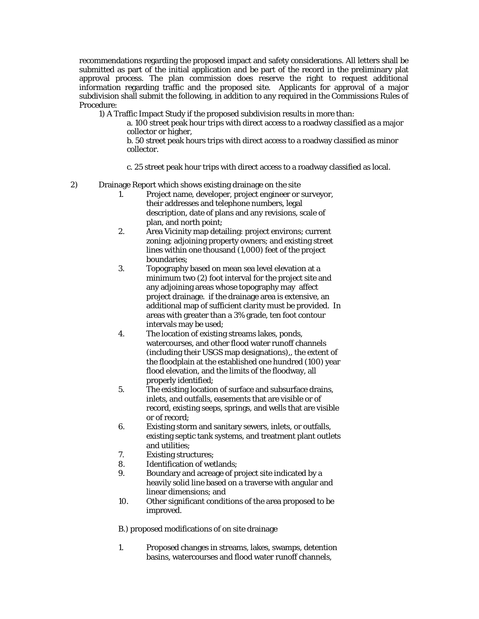recommendations regarding the proposed impact and safety considerations. All letters shall be submitted as part of the initial application and be part of the record in the preliminary plat approval process. The plan commission does reserve the right to request additional information regarding traffic and the proposed site. Applicants for approval of a major subdivision shall submit the following, in addition to any required in the Commissions Rules of Procedure:

1) A Traffic Impact Study if the proposed subdivision results in more than:

 a. 100 street peak hour trips with direct access to a roadway classified as a major collector or higher,

 b. 50 street peak hours trips with direct access to a roadway classified as minor collector.

c. 25 street peak hour trips with direct access to a roadway classified as local.

#### 2) Drainage Report which shows existing drainage on the site

- 1. Project name, developer, project engineer or surveyor, their addresses and telephone numbers, legal description, date of plans and any revisions, scale of plan, and north point;
- 2. Area Vicinity map detailing: project environs; current zoning; adjoining property owners; and existing street lines within one thousand (1,000) feet of the project boundaries;
- 3. Topography based on mean sea level elevation at a minimum two (2) foot interval for the project site and any adjoining areas whose topography may affect project drainage. if the drainage area is extensive, an additional map of sufficient clarity must be provided. In areas with greater than a 3% grade, ten foot contour intervals may be used;
- 4. The location of existing streams lakes, ponds, watercourses, and other flood water runoff channels (including their USGS map designations),, the extent of the floodplain at the established one hundred (100) year flood elevation, and the limits of the floodway, all properly identified;
- 5. The existing location of surface and subsurface drains, inlets, and outfalls, easements that are visible or of record, existing seeps, springs, and wells that are visible or of record;
- 6. Existing storm and sanitary sewers, inlets, or outfalls, existing septic tank systems, and treatment plant outlets and utilities;
- 7. Existing structures;
- 8. Identification of wetlands;
- 9. Boundary and acreage of project site indicated by a heavily solid line based on a traverse with angular and linear dimensions; and
- 10. Other significant conditions of the area proposed to be improved.

B.) proposed modifications of on site drainage

1. Proposed changes in streams, lakes, swamps, detention basins, watercourses and flood water runoff channels,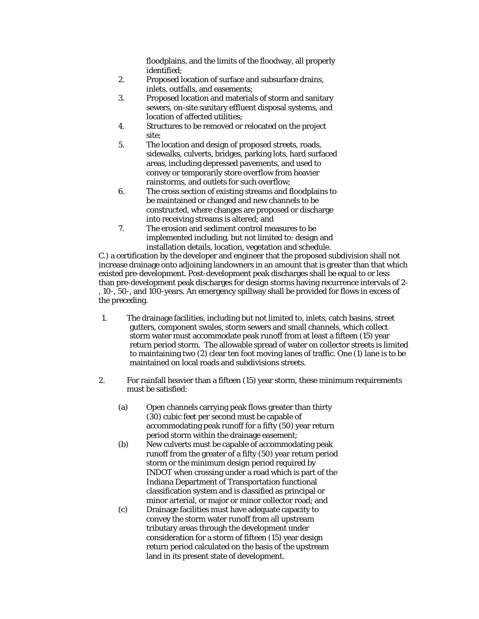floodplains, and the limits of the floodway, all properly identified;

- 2. Proposed location of surface and subsurface drains, inlets, outfalls, and easements;
- 3. Proposed location and materials of storm and sanitary sewers, on-site sanitary effluent disposal systems, and location of affected utilities;
- 4. Structures to be removed or relocated on the project site;
- 5. The location and design of proposed streets, roads, sidewalks, culverts, bridges, parking lots, hard surfaced areas, including depressed pavements, and used to convey or temporarily store overflow from heavier rainstorms, and outlets for such overflow;
- 6. The cross section of existing streams and floodplains to be maintained or changed and new channels to be constructed, where changes are proposed or discharge into receiving streams is altered; and
- 7. The erosion and sediment control measures to be implemented including, but not limited to: design and installation details, location, vegetation and schedule.

 C.) a certification by the developer and engineer that the proposed subdivision shall not increase drainage onto adjoining landowners in an amount that is greater than that which existed pre-development. Post-development peak discharges shall be equal to or less than pre-development peak discharges for design storms having recurrence intervals of 2- , 10-, 50-, and 100-years. An emergency spillway shall be provided for flows in excess of the preceding.

- 1. The drainage facilities, including but not limited to, inlets, catch basins, street gutters, component swales, storm sewers and small channels, which collect storm water must accommodate peak runoff from at least a fifteen (15) year return period storm. The allowable spread of water on collector streets is limited to maintaining two (2) clear ten foot moving lanes of traffic. One (1) lane is to be maintained on local roads and subdivisions streets.
- 2. For rainfall heavier than a fifteen (15) year storm, these minimum requirements must be satisfied:
	- (a) Open channels carrying peak flows greater than thirty (30) cubic feet per second must be capable of accommodating peak runoff for a fifty (50) year return period storm within the drainage easement;
	- (b) New culverts must be capable of accommodating peak runoff from the greater of a fifty (50) year return period storm or the minimum design period required by INDOT when crossing under a road which is part of the Indiana Department of Transportation functional classification system and is classified as principal or minor arterial, or major or minor collector road; and
	- (c) Drainage facilities must have adequate capacity to convey the storm water runoff from all upstream tributary areas through the development under consideration for a storm of fifteen (15) year design return period calculated on the basis of the upstream land in its present state of development.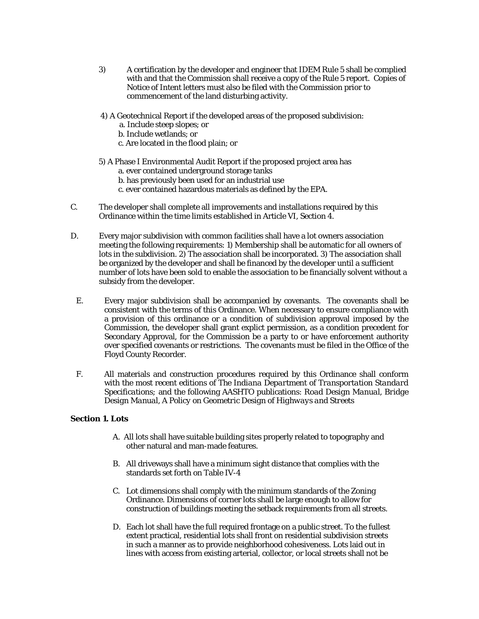- 3) A certification by the developer and engineer that IDEM Rule 5 shall be complied with and that the Commission shall receive a copy of the Rule 5 report. Copies of Notice of Intent letters must also be filed with the Commission prior to commencement of the land disturbing activity.
- 4) A Geotechnical Report if the developed areas of the proposed subdivision:
	- a. Include steep slopes; or
	- b. Include wetlands; or
	- c. Are located in the flood plain; or

### 5) A Phase I Environmental Audit Report if the proposed project area has a. ever contained underground storage tanks

- b. has previously been used for an industrial use
- c. ever contained hazardous materials as defined by the EPA.
- C. The developer shall complete all improvements and installations required by this Ordinance within the time limits established in Article VI, Section 4.
- D. Every major subdivision with common facilities shall have a lot owners association meeting the following requirements: 1) Membership shall be automatic for all owners of lots in the subdivision. 2) The association shall be incorporated. 3) The association shall be organized by the developer and shall be financed by the developer until a sufficient number of lots have been sold to enable the association to be financially solvent without a subsidy from the developer.
	- E. Every major subdivision shall be accompanied by covenants. The covenants shall be consistent with the terms of this Ordinance. When necessary to ensure compliance with a provision of this ordinance or a condition of subdivision approval imposed by the Commission, the developer shall grant explict permission, as a condition precedent for Secondary Approval, for the Commission be a party to or have enforcement authority over specified covenants or restrictions. The covenants must be filed in the Office of the Floyd County Recorder.
- F. All materials and construction procedures required by this Ordinance shall conform with the most recent editions of *The Indiana Department of Transportation Standard Specifications;* and the following AASHTO publications: *Road Design Manual, Bridge Design Manual, A Policy on Geometric Design of Highways and Streets*

#### **Section 1. Lots**

- A. All lots shall have suitable building sites properly related to topography and other natural and man-made features.
- B. All driveways shall have a minimum sight distance that complies with the standards set forth on Table IV-4
- C. Lot dimensions shall comply with the minimum standards of the Zoning Ordinance. Dimensions of corner lots shall be large enough to allow for construction of buildings meeting the setback requirements from all streets.
- D. Each lot shall have the full required frontage on a public street. To the fullest extent practical, residential lots shall front on residential subdivision streets in such a manner as to provide neighborhood cohesiveness. Lots laid out in lines with access from existing arterial, collector, or local streets shall not be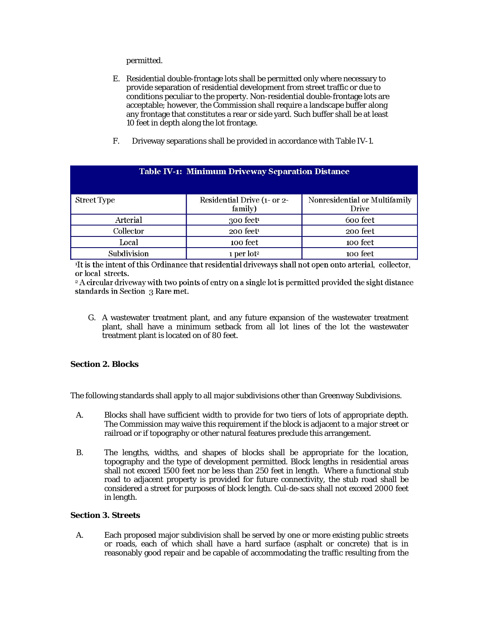permitted.

- E. Residential double-frontage lots shall be permitted only where necessary to provide separation of residential development from street traffic or due to conditions peculiar to the property. Non-residential double-frontage lots are acceptable; however, the Commission shall require a landscape buffer along any frontage that constitutes a rear or side yard. Such buffer shall be at least 10 feet in depth along the lot frontage.
- F. Driveway separations shall be provided in accordance with Table IV-1.

**Table IV-1: Minimum Driveway Separation Distance** 

| <b>Street Type</b> | Residential Drive (1- or 2-<br>family) | Nonresidential or Multifamily<br><b>Drive</b> |
|--------------------|----------------------------------------|-----------------------------------------------|
| Arterial           | $300$ feet <sup>1</sup>                | 600 feet                                      |
| Collector          | 200 feet <sup>1</sup>                  | 200 feet                                      |
| Local              | 100 feet                               | 100 feet                                      |
| Subdivision        | 1 per lot <sup>2</sup>                 | 100 feet                                      |

<sup>1</sup>It is the intent of this Ordinance that residential driveways shall not open onto arterial, collector, or local streets.

<sup>2</sup> A circular driveway with two points of entry on a single lot is permitted provided the sight distance standards in Section 3 Rare met.

G. A wastewater treatment plant, and any future expansion of the wastewater treatment plant, shall have a minimum setback from all lot lines of the lot the wastewater treatment plant is located on of 80 feet.

#### **Section 2. Blocks**

The following standards shall apply to all major subdivisions other than Greenway Subdivisions.

- A. Blocks shall have sufficient width to provide for two tiers of lots of appropriate depth. The Commission may waive this requirement if the block is adjacent to a major street or railroad or if topography or other natural features preclude this arrangement.
- B. The lengths, widths, and shapes of blocks shall be appropriate for the location, topography and the type of development permitted. Block lengths in residential areas shall not exceed 1500 feet nor be less than 250 feet in length. Where a functional stub road to adjacent property is provided for future connectivity, the stub road shall be considered a street for purposes of block length. Cul-de-sacs shall not exceed 2000 feet in length.

#### **Section 3. Streets**

A. Each proposed major subdivision shall be served by one or more existing public streets or roads, each of which shall have a hard surface (asphalt or concrete) that is in reasonably good repair and be capable of accommodating the traffic resulting from the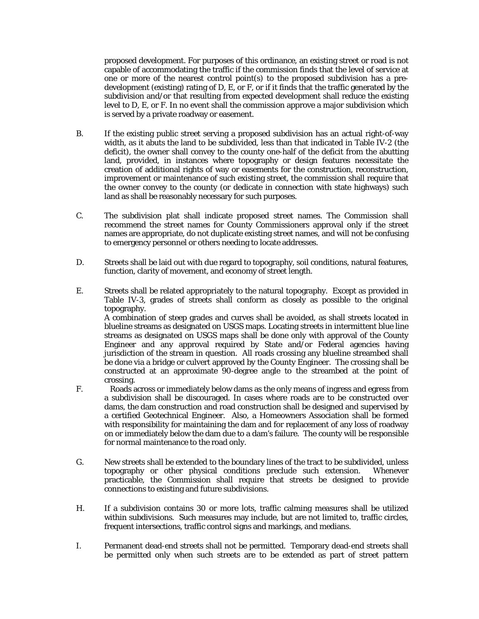proposed development. For purposes of this ordinance, an existing street or road is not capable of accommodating the traffic if the commission finds that the level of service at one or more of the nearest control point(s) to the proposed subdivision has a predevelopment (existing) rating of D, E, or F, or if it finds that the traffic generated by the subdivision and/or that resulting from expected development shall reduce the existing level to D, E, or F. In no event shall the commission approve a major subdivision which is served by a private roadway or easement.

- B. If the existing public street serving a proposed subdivision has an actual right-of-way width, as it abuts the land to be subdivided, less than that indicated in Table IV-2 (the deficit), the owner shall convey to the county one-half of the deficit from the abutting land, provided, in instances where topography or design features necessitate the creation of additional rights of way or easements for the construction, reconstruction, improvement or maintenance of such existing street, the commission shall require that the owner convey to the county (or dedicate in connection with state highways) such land as shall be reasonably necessary for such purposes.
- C. The subdivision plat shall indicate proposed street names. The Commission shall recommend the street names for County Commissioners approval only if the street names are appropriate, do not duplicate existing street names, and will not be confusing to emergency personnel or others needing to locate addresses.
- D. Streets shall be laid out with due regard to topography, soil conditions, natural features, function, clarity of movement, and economy of street length.
- E. Streets shall be related appropriately to the natural topography. Except as provided in Table IV-3, grades of streets shall conform as closely as possible to the original topography.

A combination of steep grades and curves shall be avoided, as shall streets located in blueline streams as designated on USGS maps. Locating streets in intermittent blue line streams as designated on USGS maps shall be done only with approval of the County Engineer and any approval required by State and/or Federal agencies having jurisdiction of the stream in question. All roads crossing any blueline streambed shall be done via a bridge or culvert approved by the County Engineer. The crossing shall be constructed at an approximate 90-degree angle to the streambed at the point of crossing.

- F. Roads across or immediately below dams as the only means of ingress and egress from a subdivision shall be discouraged. In cases where roads are to be constructed over dams, the dam construction and road construction shall be designed and supervised by a certified Geotechnical Engineer. Also, a Homeowners Association shall be formed with responsibility for maintaining the dam and for replacement of any loss of roadway on or immediately below the dam due to a dam's failure. The county will be responsible for normal maintenance to the road only.
- G. New streets shall be extended to the boundary lines of the tract to be subdivided, unless topography or other physical conditions preclude such extension. Whenever practicable, the Commission shall require that streets be designed to provide connections to existing and future subdivisions.
- H. If a subdivision contains 30 or more lots, traffic calming measures shall be utilized within subdivisions. Such measures may include, but are not limited to, traffic circles, frequent intersections, traffic control signs and markings, and medians.
- I. Permanent dead-end streets shall not be permitted. Temporary dead-end streets shall be permitted only when such streets are to be extended as part of street pattern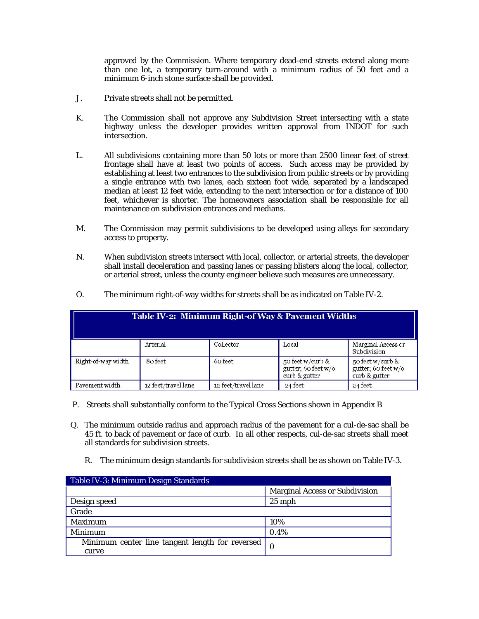approved by the Commission. Where temporary dead-end streets extend along more than one lot, a temporary turn-around with a minimum radius of 50 feet and a minimum 6-inch stone surface shall be provided.

- J. Private streets shall not be permitted.
- K. The Commission shall not approve any Subdivision Street intersecting with a state highway unless the developer provides written approval from INDOT for such intersection.
- L. All subdivisions containing more than 50 lots or more than 2500 linear feet of street frontage shall have at least two points of access. Such access may be provided by establishing at least two entrances to the subdivision from public streets or by providing a single entrance with two lanes, each sixteen foot wide, separated by a landscaped median at least 12 feet wide, extending to the next intersection or for a distance of 100 feet, whichever is shorter. The homeowners association shall be responsible for all maintenance on subdivision entrances and medians.
- M. The Commission may permit subdivisions to be developed using alleys for secondary access to property.
- N. When subdivision streets intersect with local, collector, or arterial streets, the developer shall install deceleration and passing lanes or passing blisters along the local, collector, or arterial street, unless the county engineer believe such measures are unnecessary.

| Table IV-2: Minimum Right-of Way & Pavement Widths |                     |                     |                                                          |                                                             |
|----------------------------------------------------|---------------------|---------------------|----------------------------------------------------------|-------------------------------------------------------------|
|                                                    | Arterial            | Collector           | Local                                                    | Marginal Access or<br>Subdivision                           |
| Right-of-way width                                 | 80 feet             | 60 feet             | 50 feet w/curb &<br>gutter; 60 feet w/o<br>curb & gutter | 50 feet w/curb $\&$<br>gutter; 60 feet w/o<br>curb & gutter |
| Pavement width                                     | 12 feet/travel lane | 12 feet/travel lane | 24 feet                                                  | 24 feet                                                     |

O. The minimum right-of-way widths for streets shall be as indicated on Table IV-2.

- P. Streets shall substantially conform to the Typical Cross Sections shown in Appendix B
- Q. The minimum outside radius and approach radius of the pavement for a cul-de-sac shall be 45 ft. to back of pavement or face of curb. In all other respects, cul-de-sac streets shall meet all standards for subdivision streets.
	- R. The minimum design standards for subdivision streets shall be as shown on Table IV-3.

| Table IV-3: Minimum Design Standards            |                                       |
|-------------------------------------------------|---------------------------------------|
|                                                 | <b>Marginal Access or Subdivision</b> |
| Design speed                                    | $25$ mph                              |
| Grade                                           |                                       |
| Maximum                                         | 10%                                   |
| Minimum                                         | 0.4%                                  |
| Minimum center line tangent length for reversed |                                       |
| curve                                           |                                       |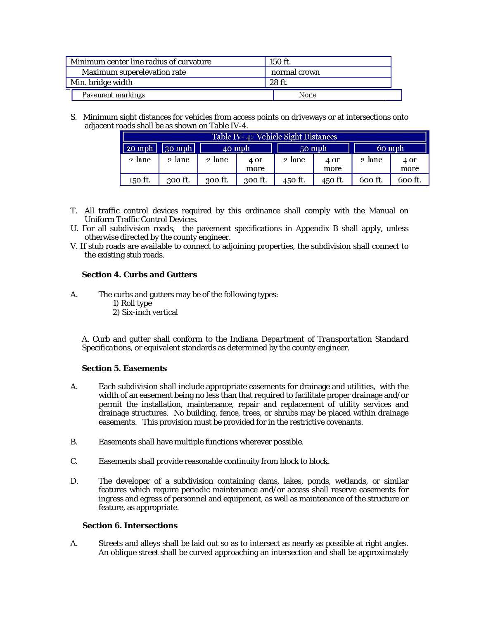| Minimum center line radius of curvature | $150$ ft.    |
|-----------------------------------------|--------------|
| Maximum superelevation rate             | normal crown |
| Min. bridge width                       | $28$ ft.     |
| Pavement markings                       | None         |

S. Minimum sight distances for vehicles from access points on driveways or at intersections onto adjacent roads shall be as shown on Table IV-4.

| Table IV-4: Vehicle Sight Distances |                        |           |         |         |         |         |         |
|-------------------------------------|------------------------|-----------|---------|---------|---------|---------|---------|
| $\sqrt{20}$ mph                     | $\vert$ 30 mph $\vert$ |           | 40 mph  |         | 50 mph  |         | 60 mph  |
| 2-lane                              | $2$ -lane              | $2$ -lane | 4 or    | 2-lane  | 4 Or    | 2-lane  | 4 or    |
|                                     |                        |           | more    |         | more    |         | more    |
| 150 ft.                             | 300 ft.                | 300 ft.   | 300 ft. | 450 ft. | 450 ft. | 600 ft. | 600 ft. |

- T. All traffic control devices required by this ordinance shall comply with the Manual on Uniform Traffic Control Devices.
- U. For all subdivision roads, the pavement specifications in Appendix B shall apply, unless otherwise directed by the county engineer.
- V. If stub roads are available to connect to adjoining properties, the subdivision shall connect to the existing stub roads.

#### **Section 4. Curbs and Gutters**

- A. The curbs and gutters may be of the following types: 1) Roll type 2) Six-inch vertical
	- *A.* Curb and gutter shall conform to the *Indiana Department of Transportation Standard Specifications,* or equivalent standards as determined by the county engineer.

#### **Section 5. Easements**

- A. Each subdivision shall include appropriate easements for drainage and utilities, with the width of an easement being no less than that required to facilitate proper drainage and/or permit the installation, maintenance, repair and replacement of utility services and drainage structures. No building, fence, trees, or shrubs may be placed within drainage easements. This provision must be provided for in the restrictive covenants.
- B. Easements shall have multiple functions wherever possible.
- C. Easements shall provide reasonable continuity from block to block.
- D. The developer of a subdivision containing dams, lakes, ponds, wetlands, or similar features which require periodic maintenance and/or access shall reserve easements for ingress and egress of personnel and equipment, as well as maintenance of the structure or feature, as appropriate.

#### **Section 6. Intersections**

A. Streets and alleys shall be laid out so as to intersect as nearly as possible at right angles. An oblique street shall be curved approaching an intersection and shall be approximately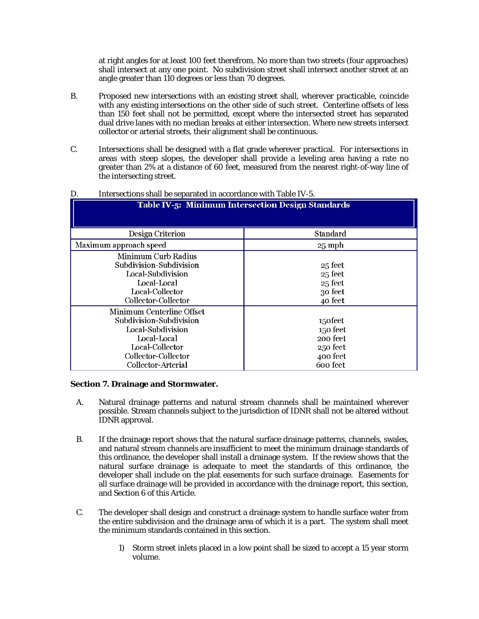at right angles for at least 100 feet therefrom. No more than two streets (four approaches) shall intersect at any one point. No subdivision street shall intersect another street at an angle greater than 110 degrees or less than 70 degrees.

- B. Proposed new intersections with an existing street shall, wherever practicable, coincide with any existing intersections on the other side of such street. Centerline offsets of less than 150 feet shall not be permitted, except where the intersected street has separated dual drive lanes with no median breaks at either intersection. Where new streets intersect collector or arterial streets, their alignment shall be continuous.
- C. Intersections shall be designed with a flat grade wherever practical. For intersections in areas with steep slopes, the developer shall provide a leveling area having a rate no greater than 2% at a distance of 60 feet, measured from the nearest right-of-way line of the intersecting street.

| <b>Table IV-5: Minimum Intersection Design Standards</b>                                                                                                 |                                                                     |  |  |
|----------------------------------------------------------------------------------------------------------------------------------------------------------|---------------------------------------------------------------------|--|--|
| Design Criterion                                                                                                                                         | Standard                                                            |  |  |
| Maximum approach speed                                                                                                                                   | $25$ mph                                                            |  |  |
| <b>Minimum Curb Radius</b><br>Subdivision-Subdivision<br>Local-Subdivision<br>Local-Local<br>Local-Collector<br>Collector-Collector                      | 25 feet<br>25 feet<br>25 feet<br>30 feet<br>40 feet                 |  |  |
| Minimum Centerline Offset<br>Subdivision-Subdivision<br>Local-Subdivision<br>Local-Local<br>Local-Collector<br>Collector-Collector<br>Collector-Arterial | 150feet<br>150 feet<br>200 feet<br>250 feet<br>400 feet<br>600 feet |  |  |

#### D. Intersections shall be separated in accordance with Table IV-5.

#### **Section 7. Drainage and Stormwater.**

- A. Natural drainage patterns and natural stream channels shall be maintained wherever possible. Stream channels subject to the jurisdiction of IDNR shall not be altered without IDNR approval.
- B. If the drainage report shows that the natural surface drainage patterns, channels, swales, and natural stream channels are insufficient to meet the minimum drainage standards of this ordinance, the developer shall install a drainage system. If the review shows that the natural surface drainage is adequate to meet the standards of this ordinance, the developer shall include on the plat easements for such surface drainage. Easements for all surface drainage will be provided in accordance with the drainage report, this section, and Section 6 of this Article.
- C. The developer shall design and construct a drainage system to handle surface water from the entire subdivision and the drainage area of which it is a part. The system shall meet the minimum standards contained in this section.
	- 1) Storm street inlets placed in a low point shall be sized to accept a 15 year storm volume.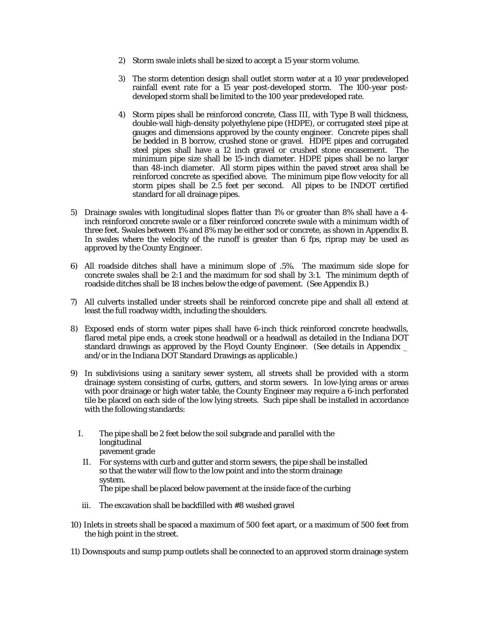- 2) Storm swale inlets shall be sized to accept a 15 year storm volume.
- 3) The storm detention design shall outlet storm water at a 10 year predeveloped rainfall event rate for a 15 year post-developed storm. The 100-year postdeveloped storm shall be limited to the 100 year predeveloped rate.
- 4) Storm pipes shall be reinforced concrete, Class III, with Type B wall thickness, double-wall high-density polyethylene pipe (HDPE), or corrugated steel pipe at gauges and dimensions approved by the county engineer. Concrete pipes shall be bedded in B borrow, crushed stone or gravel. HDPE pipes and corrugated steel pipes shall have a 12 inch gravel or crushed stone encasement. The minimum pipe size shall be 15-inch diameter. HDPE pipes shall be no larger than 48-inch diameter. All storm pipes within the paved street area shall be reinforced concrete as specified above. The minimum pipe flow velocity for all storm pipes shall be 2.5 feet per second. All pipes to be INDOT certified standard for all drainage pipes.
- 5) Drainage swales with longitudinal slopes flatter than 1% or greater than 8% shall have a 4 inch reinforced concrete swale or a fiber reinforced concrete swale with a minimum width of three feet. Swales between 1% and 8% may be either sod or concrete, as shown in Appendix B. In swales where the velocity of the runoff is greater than 6 fps, riprap may be used as approved by the County Engineer.
- 6) All roadside ditches shall have a minimum slope of .5%. The maximum side slope for concrete swales shall be 2:1 and the maximum for sod shall by 3:1. The minimum depth of roadside ditches shall be 18 inches below the edge of pavement. (See Appendix B.)
- 7) All culverts installed under streets shall be reinforced concrete pipe and shall all extend at least the full roadway width, including the shoulders.
- 8) Exposed ends of storm water pipes shall have 6-inch thick reinforced concrete headwalls, flared metal pipe ends, a creek stone headwall or a headwall as detailed in the Indiana DOT standard drawings as approved by the Floyd County Engineer. (See details in Appendix \_ and/or in the Indiana DOT Standard Drawings as applicable.)
- 9) In subdivisions using a sanitary sewer system, all streets shall be provided with a storm drainage system consisting of curbs, gutters, and storm sewers. In low-lying areas or areas with poor drainage or high water table, the County Engineer may require a 6-inch perforated tile be placed on each side of the low lying streets. Such pipe shall be installed in accordance with the following standards:
	- I. The pipe shall be 2 feet below the soil subgrade and parallel with the longitudinal pavement grade
		- II. For systems with curb and gutter and storm sewers, the pipe shall be installed so that the water will flow to the low point and into the storm drainage system. The pipe shall be placed below pavement at the inside face of the curbing
	- iii. The excavation shall be backfilled with #8 washed gravel
- 10) Inlets in streets shall be spaced a maximum of 500 feet apart, or a maximum of 500 feet from the high point in the street.
- 11) Downspouts and sump pump outlets shall be connected to an approved storm drainage system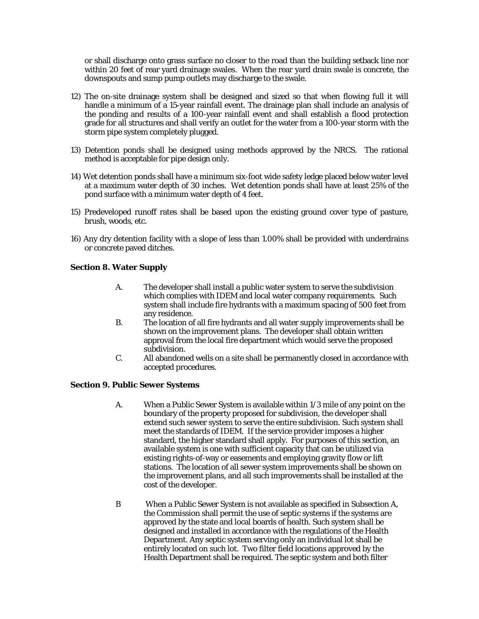or shall discharge onto grass surface no closer to the road than the building setback line nor within 20 feet of rear yard drainage swales. When the rear yard drain swale is concrete, the downspouts and sump pump outlets may discharge to the swale.

- 12) The on-site drainage system shall be designed and sized so that when flowing full it will handle a minimum of a 15-year rainfall event. The drainage plan shall include an analysis of the ponding and results of a 100-year rainfall event and shall establish a flood protection grade for all structures and shall verify an outlet for the water from a 100-year storm with the storm pipe system completely plugged.
- 13) Detention ponds shall be designed using methods approved by the NRCS. The rational method is acceptable for pipe design only.
- 14) Wet detention ponds shall have a minimum six-foot wide safety ledge placed below water level at a maximum water depth of 30 inches. Wet detention ponds shall have at least 25% of the pond surface with a minimum water depth of 4 feet.
- 15) Predeveloped runoff rates shall be based upon the existing ground cover type of pasture, brush, woods, etc.
- 16) Any dry detention facility with a slope of less than 1.00% shall be provided with underdrains or concrete paved ditches.

#### **Section 8. Water Supply**

- A. The developer shall install a public water system to serve the subdivision which complies with IDEM and local water company requirements. Such system shall include fire hydrants with a maximum spacing of 500 feet from any residence.
- B. The location of all fire hydrants and all water supply improvements shall be shown on the improvement plans. The developer shall obtain written approval from the local fire department which would serve the proposed subdivision.
- C. All abandoned wells on a site shall be permanently closed in accordance with accepted procedures.

#### **Section 9. Public Sewer Systems**

- A. When a Public Sewer System is available within 1/3 mile of any point on the boundary of the property proposed for subdivision, the developer shall extend such sewer system to serve the entire subdivision. Such system shall meet the standards of IDEM. If the service provider imposes a higher standard, the higher standard shall apply. For purposes of this section, an available system is one with sufficient capacity that can be utilized via existing rights-of-way or easements and employing gravity flow or lift stations. The location of all sewer system improvements shall be shown on the improvement plans, and all such improvements shall be installed at the cost of the developer.
- B When a Public Sewer System is not available as specified in Subsection A, the Commission shall permit the use of septic systems if the systems are approved by the state and local boards of health. Such system shall be designed and installed in accordance with the regulations of the Health Department. Any septic system serving only an individual lot shall be entirely located on such lot. Two filter field locations approved by the Health Department shall be required. The septic system and both filter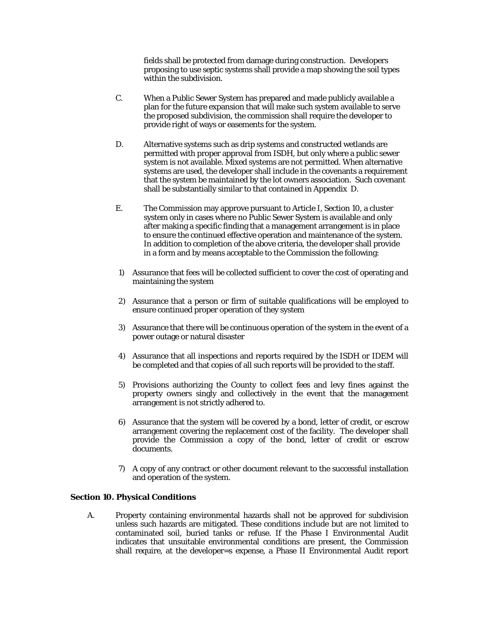fields shall be protected from damage during construction. Developers proposing to use septic systems shall provide a map showing the soil types within the subdivision.

- C. When a Public Sewer System has prepared and made publicly available a plan for the future expansion that will make such system available to serve the proposed subdivision, the commission shall require the developer to provide right of ways or easements for the system.
- D. Alternative systems such as drip systems and constructed wetlands are permitted with proper approval from ISDH, but only where a public sewer system is not available. Mixed systems are not permitted. When alternative systems are used, the developer shall include in the covenants a requirement that the system be maintained by the lot owners association. Such covenant shall be substantially similar to that contained in Appendix D.
- E. The Commission may approve pursuant to Article I, Section 10, a cluster system only in cases where no Public Sewer System is available and only after making a specific finding that a management arrangement is in place to ensure the continued effective operation and maintenance of the system. In addition to completion of the above criteria, the developer shall provide in a form and by means acceptable to the Commission the following:
- 1) Assurance that fees will be collected sufficient to cover the cost of operating and maintaining the system
- 2) Assurance that a person or firm of suitable qualifications will be employed to ensure continued proper operation of they system
- 3) Assurance that there will be continuous operation of the system in the event of a power outage or natural disaster
- 4) Assurance that all inspections and reports required by the ISDH or IDEM will be completed and that copies of all such reports will be provided to the staff.
- 5) Provisions authorizing the County to collect fees and levy fines against the property owners singly and collectively in the event that the management arrangement is not strictly adhered to.
- 6) Assurance that the system will be covered by a bond, letter of credit, or escrow arrangement covering the replacement cost of the facility. The developer shall provide the Commission a copy of the bond, letter of credit or escrow documents.
- 7) A copy of any contract or other document relevant to the successful installation and operation of the system.

#### **Section 10. Physical Conditions**

A. Property containing environmental hazards shall not be approved for subdivision unless such hazards are mitigated. These conditions include but are not limited to contaminated soil, buried tanks or refuse. If the Phase I Environmental Audit indicates that unsuitable environmental conditions are present, the Commission shall require, at the developer=s expense, a Phase II Environmental Audit report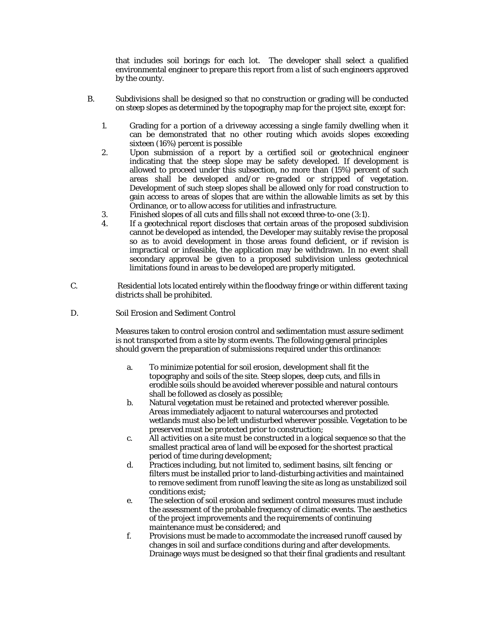that includes soil borings for each lot. The developer shall select a qualified environmental engineer to prepare this report from a list of such engineers approved by the county.

- B. Subdivisions shall be designed so that no construction or grading will be conducted on steep slopes as determined by the topography map for the project site, except for:
	- 1. Grading for a portion of a driveway accessing a single family dwelling when it can be demonstrated that no other routing which avoids slopes exceeding sixteen (16%) percent is possible
	- 2. Upon submission of a report by a certified soil or geotechnical engineer indicating that the steep slope may be safety developed. If development is allowed to proceed under this subsection, no more than (15%) percent of such areas shall be developed and/or re-graded or stripped of vegetation. Development of such steep slopes shall be allowed only for road construction to gain access to areas of slopes that are within the allowable limits as set by this Ordinance, or to allow access for utilities and infrastructure.
	- 3. Finished slopes of all cuts and fills shall not exceed three-to-one (3:1).
	- 4. If a geotechnical report discloses that certain areas of the proposed subdivision cannot be developed as intended, the Developer may suitably revise the proposal so as to avoid development in those areas found deficient, or if revision is impractical or infeasible, the application may be withdrawn. In no event shall secondary approval be given to a proposed subdivision unless geotechnical limitations found in areas to be developed are properly mitigated.
- C. Residential lots located entirely within the floodway fringe or within different taxing districts shall be prohibited.

#### D. Soil Erosion and Sediment Control

 Measures taken to control erosion control and sedimentation must assure sediment is not transported from a site by storm events. The following general principles should govern the preparation of submissions required under this ordinance:

- a. To minimize potential for soil erosion, development shall fit the topography and soils of the site. Steep slopes, deep cuts, and fills in erodible soils should be avoided wherever possible and natural contours shall be followed as closely as possible;
- b. Natural vegetation must be retained and protected wherever possible. Areas immediately adjacent to natural watercourses and protected wetlands must also be left undisturbed wherever possible. Vegetation to be preserved must be protected prior to construction;
- c. All activities on a site must be constructed in a logical sequence so that the smallest practical area of land will be exposed for the shortest practical period of time during development;
- d. Practices including, but not limited to, sediment basins, silt fencing or filters must be installed prior to land-disturbing activities and maintained to remove sediment from runoff leaving the site as long as unstabilized soil conditions exist;
- e. The selection of soil erosion and sediment control measures must include the assessment of the probable frequency of climatic events. The aesthetics of the project improvements and the requirements of continuing maintenance must be considered; and
- f. Provisions must be made to accommodate the increased runoff caused by changes in soil and surface conditions during and after developments. Drainage ways must be designed so that their final gradients and resultant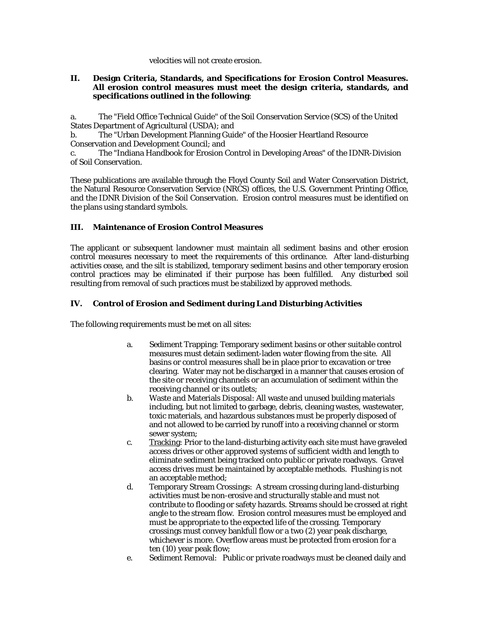velocities will not create erosion.

#### **II. Design Criteria, Standards, and Specifications for Erosion Control Measures. All erosion control measures must meet the design criteria, standards, and specifications outlined in the following**:

a. The "Field Office Technical Guide" of the Soil Conservation Service (SCS) of the United States Department of Agricultural (USDA); and

b. The "Urban Development Planning Guide" of the Hoosier Heartland Resource Conservation and Development Council; and

c. The "Indiana Handbook for Erosion Control in Developing Areas" of the IDNR-Division of Soil Conservation.

These publications are available through the Floyd County Soil and Water Conservation District, the Natural Resource Conservation Service (NRCS) offices, the U.S. Government Printing Office, and the IDNR Division of the Soil Conservation. Erosion control measures must be identified on the plans using standard symbols.

#### **III. Maintenance of Erosion Control Measures**

The applicant or subsequent landowner must maintain all sediment basins and other erosion control measures necessary to meet the requirements of this ordinance. After land-disturbing activities cease, and the silt is stabilized, temporary sediment basins and other temporary erosion control practices may be eliminated if their purpose has been fulfilled. Any disturbed soil resulting from removal of such practices must be stabilized by approved methods.

#### **IV. Control of Erosion and Sediment during Land Disturbing Activities**

The following requirements must be met on all sites:

- a. Sediment Trapping: Temporary sediment basins or other suitable control measures must detain sediment-laden water flowing from the site. All basins or control measures shall be in place prior to excavation or tree clearing. Water may not be discharged in a manner that causes erosion of the site or receiving channels or an accumulation of sediment within the receiving channel or its outlets;
- b. Waste and Materials Disposal: All waste and unused building materials including, but not limited to garbage, debris, cleaning wastes, wastewater, toxic materials, and hazardous substances must be properly disposed of and not allowed to be carried by runoff into a receiving channel or storm sewer system;
- c. Tracking: Prior to the land-disturbing activity each site must have graveled access drives or other approved systems of sufficient width and length to eliminate sediment being tracked onto public or private roadways. Gravel access drives must be maintained by acceptable methods. Flushing is not an acceptable method;
- d. Temporary Stream Crossings: A stream crossing during land-disturbing activities must be non-erosive and structurally stable and must not contribute to flooding or safety hazards. Streams should be crossed at right angle to the stream flow. Erosion control measures must be employed and must be appropriate to the expected life of the crossing. Temporary crossings must convey bankfull flow or a two (2) year peak discharge, whichever is more. Overflow areas must be protected from erosion for a ten (10) year peak flow;
- e. Sediment Removal: Public or private roadways must be cleaned daily and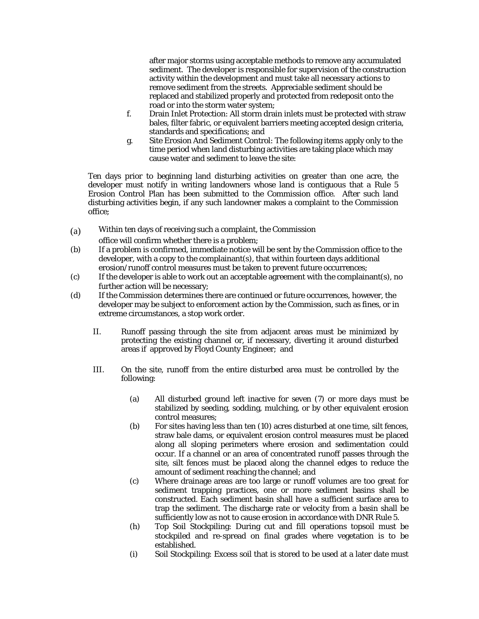after major storms using acceptable methods to remove any accumulated sediment. The developer is responsible for supervision of the construction activity within the development and must take all necessary actions to remove sediment from the streets. Appreciable sediment should be replaced and stabilized properly and protected from redeposit onto the road or into the storm water system;

- f. Drain Inlet Protection: All storm drain inlets must be protected with straw bales, filter fabric, or equivalent barriers meeting accepted design criteria, standards and specifications; and
- g. Site Erosion And Sediment Control: The following items apply only to the time period when land disturbing activities are taking place which may cause water and sediment to leave the site:

Ten days prior to beginning land disturbing activities on greater than one acre, the developer must notify in writing landowners whose land is contiguous that a Rule 5 Erosion Control Plan has been submitted to the Commission office. After such land disturbing activities begin, if any such landowner makes a complaint to the Commission office;

(a) Within ten days of receiving such a complaint, the Commission

office will confirm whether there is a problem;

- (b) If a problem is confirmed, immediate notice will be sent by the Commission office to the developer, with a copy to the complainant(s), that within fourteen days additional erosion/runoff control measures must be taken to prevent future occurrences;
- (c) If the developer is able to work out an acceptable agreement with the complainant(s), no further action will be necessary;
- (d) If the Commission determines there are continued or future occurrences, however, the developer may be subject to enforcement action by the Commission, such as fines, or in extreme circumstances, a stop work order.
	- II. Runoff passing through the site from adjacent areas must be minimized by protecting the existing channel or, if necessary, diverting it around disturbed areas if approved by Floyd County Engineer; and
	- III. On the site, runoff from the entire disturbed area must be controlled by the following:
		- (a) All disturbed ground left inactive for seven (7) or more days must be stabilized by seeding, sodding, mulching, or by other equivalent erosion control measures;
		- (b) For sites having less than ten (10) acres disturbed at one time, silt fences, straw bale dams, or equivalent erosion control measures must be placed along all sloping perimeters where erosion and sedimentation could occur. If a channel or an area of concentrated runoff passes through the site, silt fences must be placed along the channel edges to reduce the amount of sediment reaching the channel; and
		- (c) Where drainage areas are too large or runoff volumes are too great for sediment trapping practices, one or more sediment basins shall be constructed. Each sediment basin shall have a sufficient surface area to trap the sediment. The discharge rate or velocity from a basin shall be sufficiently low as not to cause erosion in accordance with DNR Rule 5.
		- (h) Top Soil Stockpiling: During cut and fill operations topsoil must be stockpiled and re-spread on final grades where vegetation is to be established.
		- (i) Soil Stockpiling: Excess soil that is stored to be used at a later date must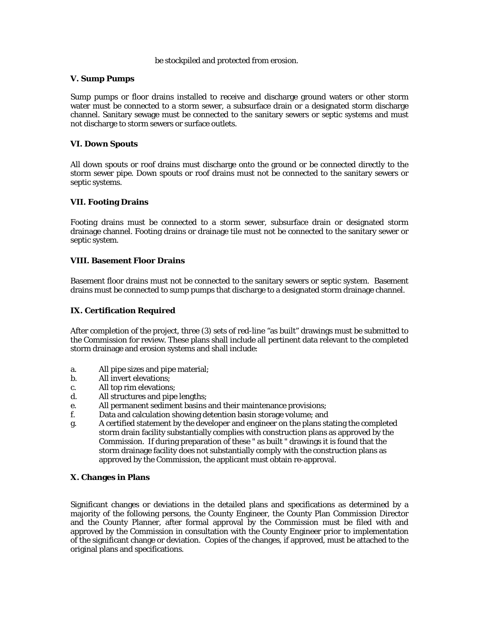#### be stockpiled and protected from erosion.

#### **V. Sump Pumps**

Sump pumps or floor drains installed to receive and discharge ground waters or other storm water must be connected to a storm sewer, a subsurface drain or a designated storm discharge channel. Sanitary sewage must be connected to the sanitary sewers or septic systems and must not discharge to storm sewers or surface outlets.

#### **VI. Down Spouts**

All down spouts or roof drains must discharge onto the ground or be connected directly to the storm sewer pipe. Down spouts or roof drains must not be connected to the sanitary sewers or septic systems.

#### **VII. Footing Drains**

Footing drains must be connected to a storm sewer, subsurface drain or designated storm drainage channel. Footing drains or drainage tile must not be connected to the sanitary sewer or septic system.

#### **VIII. Basement Floor Drains**

Basement floor drains must not be connected to the sanitary sewers or septic system. Basement drains must be connected to sump pumps that discharge to a designated storm drainage channel.

#### **IX. Certification Required**

After completion of the project, three (3) sets of red-line "as built" drawings must be submitted to the Commission for review. These plans shall include all pertinent data relevant to the completed storm drainage and erosion systems and shall include:

- a. All pipe sizes and pipe material;
- b. All invert elevations;
- c. All top rim elevations;
- d. All structures and pipe lengths;
- e. All permanent sediment basins and their maintenance provisions;
- f. Data and calculation showing detention basin storage volume; and
- g. A certified statement by the developer and engineer on the plans stating the completed storm drain facility substantially complies with construction plans as approved by the Commission. If during preparation of these " as built " drawings it is found that the storm drainage facility does not substantially comply with the construction plans as approved by the Commission, the applicant must obtain re-approval.

#### **X. Changes in Plans**

Significant changes or deviations in the detailed plans and specifications as determined by a majority of the following persons, the County Engineer, the County Plan Commission Director and the County Planner, after formal approval by the Commission must be filed with and approved by the Commission in consultation with the County Engineer prior to implementation of the significant change or deviation. Copies of the changes, if approved, must be attached to the original plans and specifications.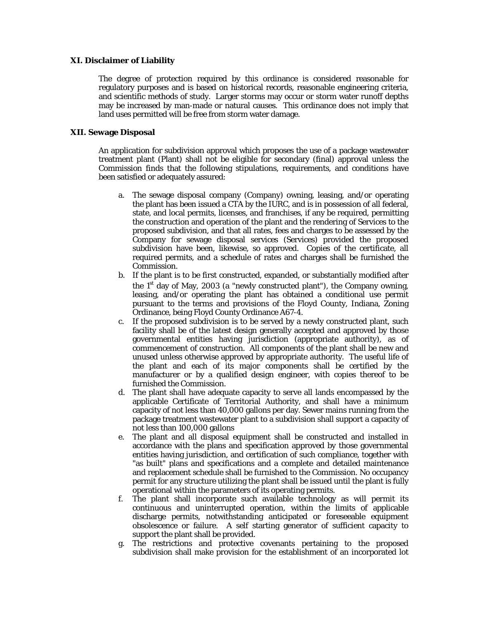#### **XI. Disclaimer of Liability**

The degree of protection required by this ordinance is considered reasonable for regulatory purposes and is based on historical records, reasonable engineering criteria, and scientific methods of study. Larger storms may occur or storm water runoff depths may be increased by man-made or natural causes. This ordinance does not imply that land uses permitted will be free from storm water damage.

#### **XII. Sewage Disposal**

An application for subdivision approval which proposes the use of a package wastewater treatment plant (Plant) shall not be eligible for secondary (final) approval unless the Commission finds that the following stipulations, requirements, and conditions have been satisfied or adequately assured:

- a. The sewage disposal company (Company) owning, leasing, and/or operating the plant has been issued a CTA by the IURC, and is in possession of all federal, state, and local permits, licenses, and franchises, if any be required, permitting the construction and operation of the plant and the rendering of Services to the proposed subdivision, and that all rates, fees and charges to be assessed by the Company for sewage disposal services (Services) provided the proposed subdivision have been, likewise, so approved. Copies of the certificate, all required permits, and a schedule of rates and charges shall be furnished the Commission.
- b. If the plant is to be first constructed, expanded, or substantially modified after the  $1<sup>st</sup>$  day of May, 2003 (a "newly constructed plant"), the Company owning, leasing, and/or operating the plant has obtained a conditional use permit pursuant to the terms and provisions of the Floyd County, Indiana, Zoning Ordinance, being Floyd County Ordinance A67-4.
- c. If the proposed subdivision is to be served by a newly constructed plant, such facility shall be of the latest design generally accepted and approved by those governmental entities having jurisdiction (appropriate authority), as of commencement of construction. All components of the plant shall be new and unused unless otherwise approved by appropriate authority. The useful life of the plant and each of its major components shall be certified by the manufacturer or by a qualified design engineer, with copies thereof to be furnished the Commission.
- d. The plant shall have adequate capacity to serve all lands encompassed by the applicable Certificate of Territorial Authority, and shall have a minimum capacity of not less than 40,000 gallons per day. Sewer mains running from the package treatment wastewater plant to a subdivision shall support a capacity of not less than 100,000 gallons
- e. The plant and all disposal equipment shall be constructed and installed in accordance with the plans and specification approved by those governmental entities having jurisdiction, and certification of such compliance, together with "as built" plans and specifications and a complete and detailed maintenance and replacement schedule shall be furnished to the Commission. No occupancy permit for any structure utilizing the plant shall be issued until the plant is fully operational within the parameters of its operating permits.
- f. The plant shall incorporate such available technology as will permit its continuous and uninterrupted operation, within the limits of applicable discharge permits, notwithstanding anticipated or foreseeable equipment obsolescence or failure. A self starting generator of sufficient capacity to support the plant shall be provided.
- g. The restrictions and protective covenants pertaining to the proposed subdivision shall make provision for the establishment of an incorporated lot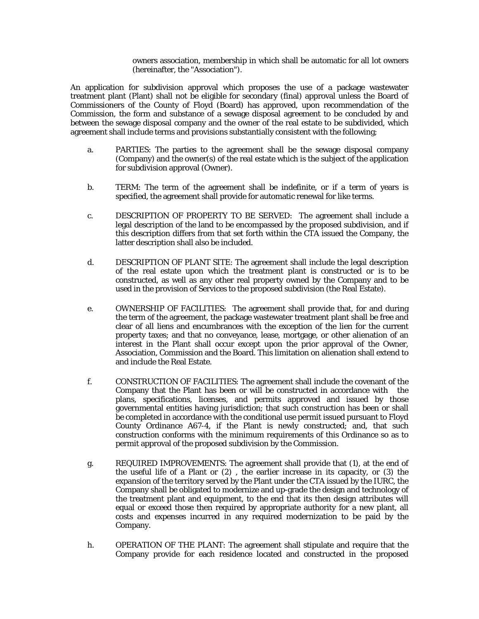owners association, membership in which shall be automatic for all lot owners (hereinafter, the "Association").

An application for subdivision approval which proposes the use of a package wastewater treatment plant (Plant) shall not be eligible for secondary (final) approval unless the Board of Commissioners of the County of Floyd (Board) has approved, upon recommendation of the Commission, the form and substance of a sewage disposal agreement to be concluded by and between the sewage disposal company and the owner of the real estate to be subdivided, which agreement shall include terms and provisions substantially consistent with the following;

- a. PARTIES: The parties to the agreement shall be the sewage disposal company (Company) and the owner(s) of the real estate which is the subject of the application for subdivision approval (Owner).
- b. TERM: The term of the agreement shall be indefinite, or if a term of years is specified, the agreement shall provide for automatic renewal for like terms.
- c. DESCRIPTION OF PROPERTY TO BE SERVED: The agreement shall include a legal description of the land to be encompassed by the proposed subdivision, and if this description differs from that set forth within the CTA issued the Company, the latter description shall also be included.
- d. DESCRIPTION OF PLANT SITE: The agreement shall include the legal description of the real estate upon which the treatment plant is constructed or is to be constructed, as well as any other real property owned by the Company and to be used in the provision of Services to the proposed subdivision (the Real Estate).
- e. OWNERSHIP OF FACILITIES: The agreement shall provide that, for and during the term of the agreement, the package wastewater treatment plant shall be free and clear of all liens and encumbrances with the exception of the lien for the current property taxes; and that no conveyance, lease, mortgage, or other alienation of an interest in the Plant shall occur except upon the prior approval of the Owner, Association, Commission and the Board. This limitation on alienation shall extend to and include the Real Estate.
- f. CONSTRUCTION OF FACILITIES: The agreement shall include the covenant of the Company that the Plant has been or will be constructed in accordance with the plans, specifications, licenses, and permits approved and issued by those governmental entities having jurisdiction; that such construction has been or shall be completed in accordance with the conditional use permit issued pursuant to Floyd County Ordinance A67-4, if the Plant is newly constructed; and, that such construction conforms with the minimum requirements of this Ordinance so as to permit approval of the proposed subdivision by the Commission.
- g. REQUIRED IMPROVEMENTS: The agreement shall provide that (1), at the end of the useful life of a Plant or (2) , the earlier increase in its capacity, or (3) the expansion of the territory served by the Plant under the CTA issued by the IURC, the Company shall be obligated to modernize and up-grade the design and technology of the treatment plant and equipment, to the end that its then design attributes will equal or exceed those then required by appropriate authority for a new plant, all costs and expenses incurred in any required modernization to be paid by the Company.
- h. OPERATION OF THE PLANT: The agreement shall stipulate and require that the Company provide for each residence located and constructed in the proposed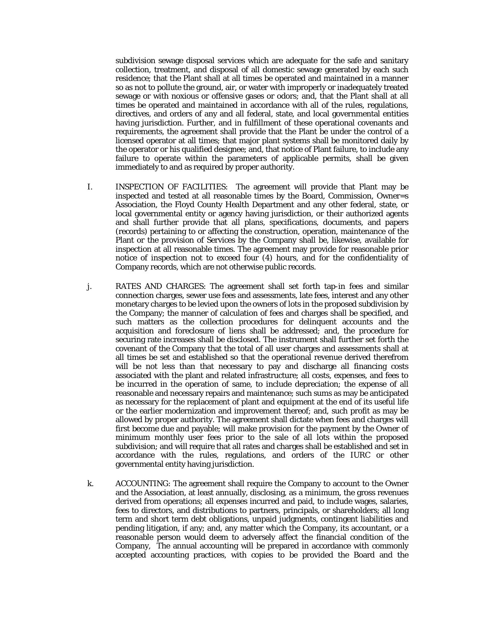subdivision sewage disposal services which are adequate for the safe and sanitary collection, treatment, and disposal of all domestic sewage generated by each such residence; that the Plant shall at all times be operated and maintained in a manner so as not to pollute the ground, air, or water with improperly or inadequately treated sewage or with noxious or offensive gases or odors; and, that the Plant shall at all times be operated and maintained in accordance with all of the rules, regulations, directives, and orders of any and all federal, state, and local governmental entities having jurisdiction. Further, and in fulfillment of these operational covenants and requirements, the agreement shall provide that the Plant be under the control of a licensed operator at all times; that major plant systems shall be monitored daily by the operator or his qualified designee; and, that notice of Plant failure, to include any failure to operate within the parameters of applicable permits, shall be given immediately to and as required by proper authority.

- I. INSPECTION OF FACILITIES: The agreement will provide that Plant may be inspected and tested at all reasonable times by the Board, Commission, Owner=s Association, the Floyd County Health Department and any other federal, state, or local governmental entity or agency having jurisdiction, or their authorized agents and shall further provide that all plans, specifications, documents, and papers (records) pertaining to or affecting the construction, operation, maintenance of the Plant or the provision of Services by the Company shall be, likewise, available for inspection at all reasonable times. The agreement may provide for reasonable prior notice of inspection not to exceed four (4) hours, and for the confidentiality of Company records, which are not otherwise public records.
- j. RATES AND CHARGES: The agreement shall set forth tap-in fees and similar connection charges, sewer use fees and assessments, late fees, interest and any other monetary charges to be levied upon the owners of lots in the proposed subdivision by the Company; the manner of calculation of fees and charges shall be specified, and such matters as the collection procedures for delinquent accounts and the acquisition and foreclosure of liens shall be addressed; and, the procedure for securing rate increases shall be disclosed. The instrument shall further set forth the covenant of the Company that the total of all user charges and assessments shall at all times be set and established so that the operational revenue derived therefrom will be not less than that necessary to pay and discharge all financing costs associated with the plant and related infrastructure; all costs, expenses, and fees to be incurred in the operation of same, to include depreciation; the expense of all reasonable and necessary repairs and maintenance; such sums as may be anticipated as necessary for the replacement of plant and equipment at the end of its useful life or the earlier modernization and improvement thereof; and, such profit as may be allowed by proper authority. The agreement shall dictate when fees and charges will first become due and payable; will make provision for the payment by the Owner of minimum monthly user fees prior to the sale of all lots within the proposed subdivision; and will require that all rates and charges shall be established and set in accordance with the rules, regulations, and orders of the IURC or other governmental entity having jurisdiction.
- k. ACCOUNTING: The agreement shall require the Company to account to the Owner and the Association, at least annually, disclosing, as a minimum, the gross revenues derived from operations; all expenses incurred and paid, to include wages, salaries, fees to directors, and distributions to partners, principals, or shareholders; all long term and short term debt obligations, unpaid judgments, contingent liabilities and pending litigation, if any; and, any matter which the Company, its accountant, or a reasonable person would deem to adversely affect the financial condition of the Company, The annual accounting will be prepared in accordance with commonly accepted accounting practices, with copies to be provided the Board and the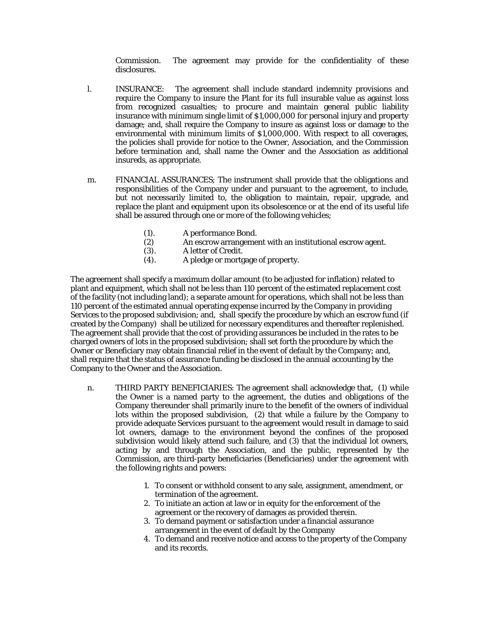Commission. The agreement may provide for the confidentiality of these disclosures.

- l. INSURANCE: The agreement shall include standard indemnity provisions and require the Company to insure the Plant for its full insurable value as against loss from recognized casualties; to procure and maintain general public liability insurance with minimum single limit of \$1,000,000 for personal injury and property damage; and, shall require the Company to insure as against loss or damage to the environmental with minimum limits of \$1,000,000. With respect to all coverages, the policies shall provide for notice to the Owner, Association, and the Commission before termination and, shall name the Owner and the Association as additional insureds, as appropriate.
- m. FINANCIAL ASSURANCES; The instrument shall provide that the obligations and responsibilities of the Company under and pursuant to the agreement, to include, but not necessarily limited to, the obligation to maintain, repair, upgrade, and replace the plant and equipment upon its obsolescence or at the end of its useful life shall be assured through one or more of the following vehicles;
	- (1). A performance Bond.
	- (2) An escrow arrangement with an institutional escrow agent.
	- (3). A letter of Credit.
	- (4). A pledge or mortgage of property.

The agreement shall specify a maximum dollar amount (to be adjusted for inflation) related to plant and equipment, which shall not be less than 110 percent of the estimated replacement cost of the facility (not including land); a separate amount for operations, which shall not be less than 110 percent of the estimated annual operating expense incurred by the Company in providing Services to the proposed subdivision; and, shall specify the procedure by which an escrow fund (if created by the Company) shall be utilized for necessary expenditures and thereafter replenished. The agreement shall provide that the cost of providing assurances be included in the rates to be charged owners of lots in the proposed subdivision; shall set forth the procedure by which the Owner or Beneficiary may obtain financial relief in the event of default by the Company; and, shall require that the status of assurance funding be disclosed in the annual accounting by the Company to the Owner and the Association.

- n. THIRD PARTY BENEFICIARIES: The agreement shall acknowledge that, (1) while the Owner is a named party to the agreement, the duties and obligations of the Company thereunder shall primarily inure to the benefit of the owners of individual lots within the proposed subdivision, (2) that while a failure by the Company to provide adequate Services pursuant to the agreement would result in damage to said lot owners, damage to the environment beyond the confines of the proposed subdivision would likely attend such failure, and (3) that the individual lot owners, acting by and through the Association, and the public, represented by the Commission, are third-party beneficiaries (Beneficiaries) under the agreement with the following rights and powers:
	- 1. To consent or withhold consent to any sale, assignment, amendment, or termination of the agreement.
	- 2. To initiate an action at law or in equity for the enforcement of the agreement or the recovery of damages as provided therein.
	- 3. To demand payment or satisfaction under a financial assurance arrangement in the event of default by the Company
	- 4. To demand and receive notice and access to the property of the Company and its records.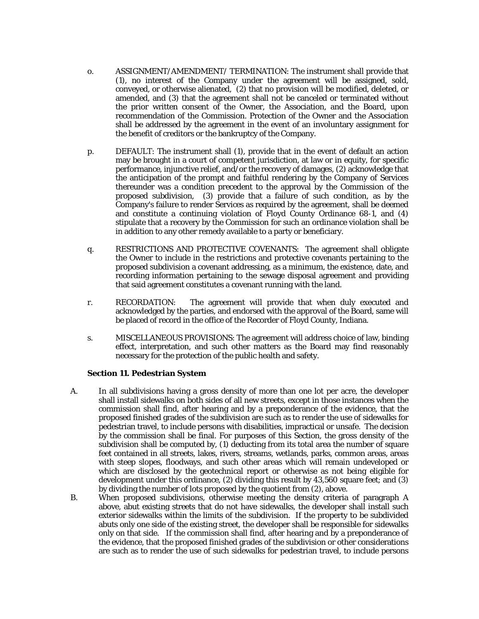- o. ASSIGNMENT/AMENDMENT/ TERMINATION: The instrument shall provide that (1), no interest of the Company under the agreement will be assigned, sold, conveyed, or otherwise alienated, (2) that no provision will be modified, deleted, or amended, and (3) that the agreement shall not be canceled or terminated without the prior written consent of the Owner, the Association, and the Board, upon recommendation of the Commission. Protection of the Owner and the Association shall be addressed by the agreement in the event of an involuntary assignment for the benefit of creditors or the bankruptcy of the Company.
- p. DEFAULT: The instrument shall (1), provide that in the event of default an action may be brought in a court of competent jurisdiction, at law or in equity, for specific performance, injunctive relief, and/or the recovery of damages, (2) acknowledge that the anticipation of the prompt and faithful rendering by the Company of Services thereunder was a condition precedent to the approval by the Commission of the proposed subdivision, (3) provide that a failure of such condition, as by the Company's failure to render Services as required by the agreement, shall be deemed and constitute a continuing violation of Floyd County Ordinance 68-1, and (4) stipulate that a recovery by the Commission for such an ordinance violation shall be in addition to any other remedy available to a party or beneficiary.
- q. RESTRICTIONS AND PROTECTIVE COVENANTS: The agreement shall obligate the Owner to include in the restrictions and protective covenants pertaining to the proposed subdivision a covenant addressing, as a minimum, the existence, date, and recording information pertaining to the sewage disposal agreement and providing that said agreement constitutes a covenant running with the land.
- r. RECORDATION: The agreement will provide that when duly executed and acknowledged by the parties, and endorsed with the approval of the Board, same will be placed of record in the office of the Recorder of Floyd County, Indiana.
- s. MISCELLANEOUS PROVISIONS: The agreement will address choice of law, binding effect, interpretation, and such other matters as the Board may find reasonably necessary for the protection of the public health and safety.

#### **Section 11. Pedestrian System**

- A. In all subdivisions having a gross density of more than one lot per acre, the developer shall install sidewalks on both sides of all new streets, except in those instances when the commission shall find, after hearing and by a preponderance of the evidence, that the proposed finished grades of the subdivision are such as to render the use of sidewalks for pedestrian travel, to include persons with disabilities, impractical or unsafe. The decision by the commission shall be final. For purposes of this Section, the gross density of the subdivision shall be computed by, (1) deducting from its total area the number of square feet contained in all streets, lakes, rivers, streams, wetlands, parks, common areas, areas with steep slopes, floodways, and such other areas which will remain undeveloped or which are disclosed by the geotechnical report or otherwise as not being eligible for development under this ordinance, (2) dividing this result by 43,560 square feet; and (3) by dividing the number of lots proposed by the quotient from (2), above.
- B. When proposed subdivisions, otherwise meeting the density criteria of paragraph A above, abut existing streets that do not have sidewalks, the developer shall install such exterior sidewalks within the limits of the subdivision. If the property to be subdivided abuts only one side of the existing street, the developer shall be responsible for sidewalks only on that side. If the commission shall find, after hearing and by a preponderance of the evidence, that the proposed finished grades of the subdivision or other considerations are such as to render the use of such sidewalks for pedestrian travel, to include persons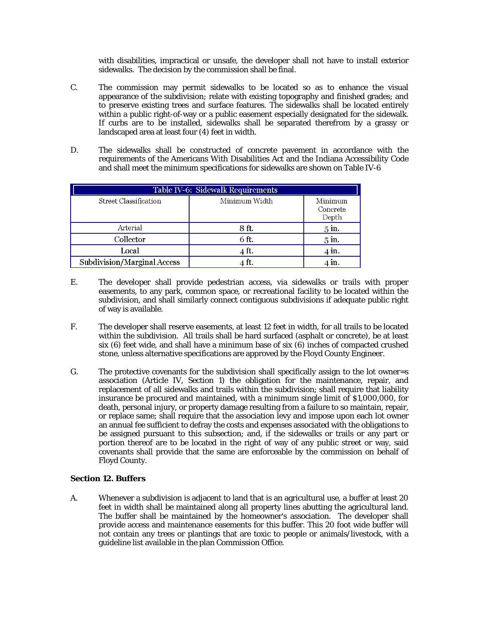with disabilities, impractical or unsafe, the developer shall not have to install exterior sidewalks. The decision by the commission shall be final.

- C. The commission may permit sidewalks to be located so as to enhance the visual appearance of the subdivision; relate with existing topography and finished grades; and to preserve existing trees and surface features. The sidewalks shall be located entirely within a public right-of-way or a public easement especially designated for the sidewalk. If curbs are to be installed, sidewalks shall be separated therefrom by a grassy or landscaped area at least four (4) feet in width.
- D. The sidewalks shall be constructed of concrete pavement in accordance with the requirements of the Americans With Disabilities Act and the Indiana Accessibility Code and shall meet the minimum specifications for sidewalks are shown on Table IV-6

| Table IV-6: Sidewalk Requirements |               |                              |  |
|-----------------------------------|---------------|------------------------------|--|
| Street Classification             | Minimum Width | Minimum<br>Concrete<br>Depth |  |
| Arterial                          | 8 ft.         | $5$ in.                      |  |
| Collector                         | 6 ft.         | $5$ in.                      |  |
| Local                             | 4 ft.         | in.                          |  |
| Subdivision/Marginal Access       |               |                              |  |

- E. The developer shall provide pedestrian access, via sidewalks or trails with proper easements, to any park, common space, or recreational facility to be located within the subdivision, and shall similarly connect contiguous subdivisions if adequate public right of way is available.
- F. The developer shall reserve easements, at least 12 feet in width, for all trails to be located within the subdivision. All trails shall be hard surfaced (asphalt or concrete), be at least six (6) feet wide, and shall have a minimum base of six (6) inches of compacted crushed stone, unless alternative specifications are approved by the Floyd County Engineer.
- G. The protective covenants for the subdivision shall specifically assign to the lot owner=s association (Article IV, Section 1) the obligation for the maintenance, repair, and replacement of all sidewalks and trails within the subdivision; shall require that liability insurance be procured and maintained, with a minimum single limit of \$1,000,000, for death, personal injury, or property damage resulting from a failure to so maintain, repair, or replace same; shall require that the association levy and impose upon each lot owner an annual fee sufficient to defray the costs and expenses associated with the obligations to be assigned pursuant to this subsection; and, if the sidewalks or trails or any part or portion thereof are to be located in the right of way of any public street or way, said covenants shall provide that the same are enforceable by the commission on behalf of Floyd County.

#### **Section 12. Buffers**

A. Whenever a subdivision is adjacent to land that is an agricultural use, a buffer at least 20 feet in width shall be maintained along all property lines abutting the agricultural land. The buffer shall be maintained by the homeowner's association. The developer shall provide access and maintenance easements for this buffer. This 20 foot wide buffer will not contain any trees or plantings that are toxic to people or animals/livestock, with a guideline list available in the plan Commission Office.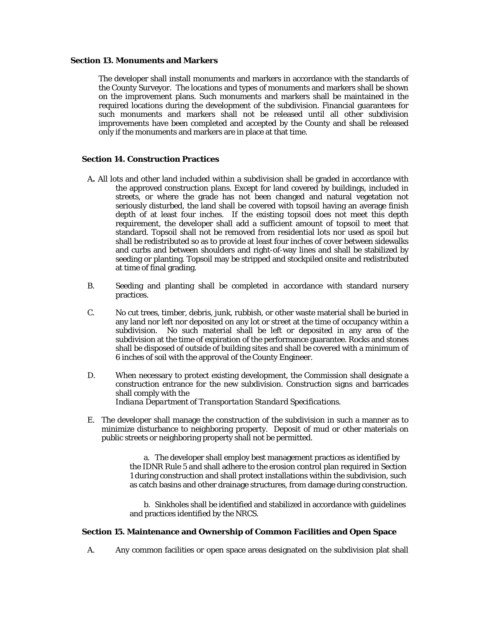#### **Section 13. Monuments and Markers**

 The developer shall install monuments and markers in accordance with the standards of the County Surveyor. The locations and types of monuments and markers shall be shown on the improvement plans. Such monuments and markers shall be maintained in the required locations during the development of the subdivision. Financial guarantees for such monuments and markers shall not be released until all other subdivision improvements have been completed and accepted by the County and shall be released only if the monuments and markers are in place at that time.

#### **Section 14. Construction Practices**

- A**.** All lots and other land included within a subdivision shall be graded in accordance with the approved construction plans. Except for land covered by buildings, included in streets, or where the grade has not been changed and natural vegetation not seriously disturbed, the land shall be covered with topsoil having an average finish depth of at least four inches. If the existing topsoil does not meet this depth requirement, the developer shall add a sufficient amount of topsoil to meet that standard. Topsoil shall not be removed from residential lots nor used as spoil but shall be redistributed so as to provide at least four inches of cover between sidewalks and curbs and between shoulders and right-of-way lines and shall be stabilized by seeding or planting. Topsoil may be stripped and stockpiled onsite and redistributed at time of final grading.
- B. Seeding and planting shall be completed in accordance with standard nursery practices.
- C. No cut trees, timber, debris, junk, rubbish, or other waste material shall be buried in any land nor left nor deposited on any lot or street at the time of occupancy within a subdivision. No such material shall be left or deposited in any area of the subdivision at the time of expiration of the performance guarantee. Rocks and stones shall be disposed of outside of building sites and shall be covered with a minimum of 6 inches of soil with the approval of the County Engineer.
- D. When necessary to protect existing development, the Commission shall designate a construction entrance for the new subdivision. Construction signs and barricades shall comply with the *Indiana Department of Transportation Standard Specifications.*
- E. The developer shall manage the construction of the subdivision in such a manner as to minimize disturbance to neighboring property. Deposit of mud or other materials on public streets or neighboring property shall not be permitted.

a. The developer shall employ best management practices as identified by the IDNR Rule 5 and shall adhere to the erosion control plan required in Section 1 during construction and shall protect installations within the subdivision, such as catch basins and other drainage structures, from damage during construction.

b. Sinkholes shall be identified and stabilized in accordance with guidelines and practices identified by the NRCS.

#### **Section 15. Maintenance and Ownership of Common Facilities and Open Space**

A. Any common facilities or open space areas designated on the subdivision plat shall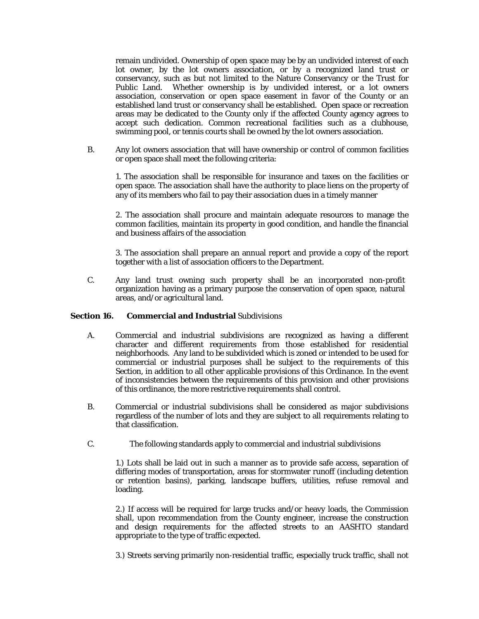remain undivided. Ownership of open space may be by an undivided interest of each lot owner, by the lot owners association, or by a recognized land trust or conservancy, such as but not limited to the Nature Conservancy or the Trust for Public Land. Whether ownership is by undivided interest, or a lot owners association, conservation or open space easement in favor of the County or an established land trust or conservancy shall be established. Open space or recreation areas may be dedicated to the County only if the affected County agency agrees to accept such dedication. Common recreational facilities such as a clubhouse, swimming pool, or tennis courts shall be owned by the lot owners association.

B. Any lot owners association that will have ownership or control of common facilities or open space shall meet the following criteria:

1. The association shall be responsible for insurance and taxes on the facilities or open space. The association shall have the authority to place liens on the property of any of its members who fail to pay their association dues in a timely manner

2. The association shall procure and maintain adequate resources to manage the common facilities, maintain its property in good condition, and handle the financial and business affairs of the association

3. The association shall prepare an annual report and provide a copy of the report together with a list of association officers to the Department.

C. Any land trust owning such property shall be an incorporated non-profit organization having as a primary purpose the conservation of open space, natural areas, and/or agricultural land.

#### **Section 16. Commercial and Industrial** Subdivisions

- A. Commercial and industrial subdivisions are recognized as having a different character and different requirements from those established for residential neighborhoods. Any land to be subdivided which is zoned or intended to be used for commercial or industrial purposes shall be subject to the requirements of this Section, in addition to all other applicable provisions of this Ordinance. In the event of inconsistencies between the requirements of this provision and other provisions of this ordinance, the more restrictive requirements shall control.
- B. Commercial or industrial subdivisions shall be considered as major subdivisions regardless of the number of lots and they are subject to all requirements relating to that classification.
- C. The following standards apply to commercial and industrial subdivisions

1.) Lots shall be laid out in such a manner as to provide safe access, separation of differing modes of transportation, areas for stormwater runoff (including detention or retention basins), parking, landscape buffers, utilities, refuse removal and loading.

2.) If access will be required for large trucks and/or heavy loads, the Commission shall, upon recommendation from the County engineer, increase the construction and design requirements for the affected streets to an AASHTO standard appropriate to the type of traffic expected.

3.) Streets serving primarily non-residential traffic, especially truck traffic, shall not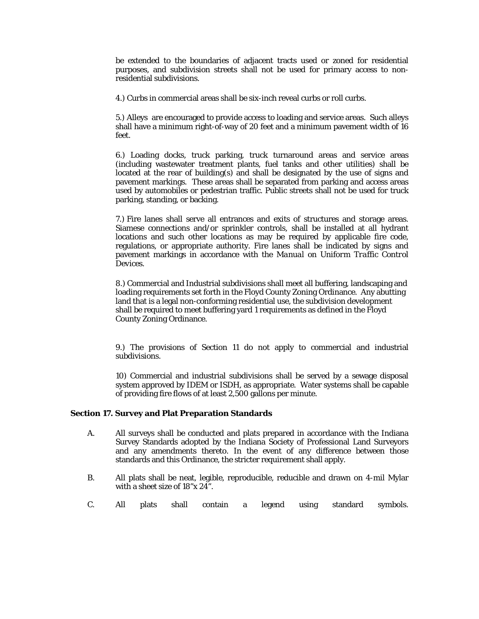be extended to the boundaries of adjacent tracts used or zoned for residential purposes, and subdivision streets shall not be used for primary access to nonresidential subdivisions.

4.) Curbs in commercial areas shall be six-inch reveal curbs or roll curbs.

5.) Alleys are encouraged to provide access to loading and service areas. Such alleys shall have a minimum right-of-way of 20 feet and a minimum pavement width of 16 feet.

6.) Loading docks, truck parking, truck turnaround areas and service areas (including wastewater treatment plants, fuel tanks and other utilities) shall be located at the rear of building(s) and shall be designated by the use of signs and pavement markings. These areas shall be separated from parking and access areas used by automobiles or pedestrian traffic. Public streets shall not be used for truck parking, standing, or backing.

7.) Fire lanes shall serve all entrances and exits of structures and storage areas. Siamese connections and/or sprinkler controls, shall be installed at all hydrant locations and such other locations as may be required by applicable fire code, regulations, or appropriate authority. Fire lanes shall be indicated by signs and pavement markings in accordance with the *Manual on Uniform Traffic Control Devices*.

8.) Commercial and Industrial subdivisions shall meet all buffering, landscaping and loading requirements set forth in the Floyd County Zoning Ordinance. Any abutting land that is a legal non-conforming residential use, the subdivision development shall be required to meet buffering yard 1 requirements as defined in the Floyd County Zoning Ordinance.

9.) The provisions of Section 11 do not apply to commercial and industrial subdivisions.

10) Commercial and industrial subdivisions shall be served by a sewage disposal system approved by IDEM or ISDH, as appropriate. Water systems shall be capable of providing fire flows of at least 2,500 gallons per minute.

#### **Section 17. Survey and Plat Preparation Standards**

- A. All surveys shall be conducted and plats prepared in accordance with the Indiana Survey Standards adopted by the Indiana Society of Professional Land Surveyors and any amendments thereto. In the event of any difference between those standards and this Ordinance, the stricter requirement shall apply.
- B. All plats shall be neat, legible, reproducible, reducible and drawn on 4-mil Mylar with a sheet size of 18"x 24".
- C. All plats shall contain a legend using standard symbols.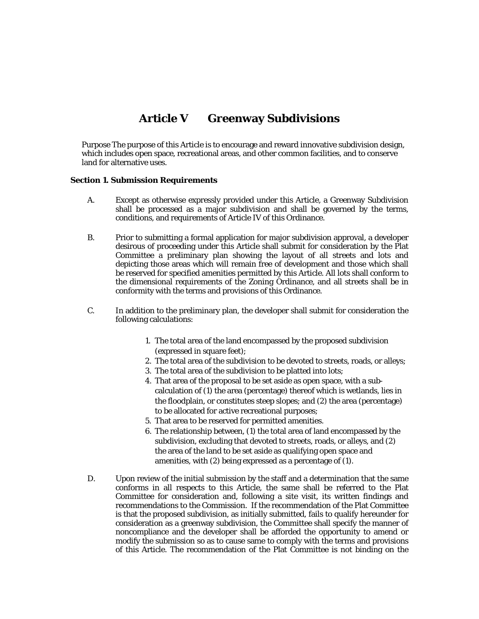## **Article V Greenway Subdivisions**

Purpose The purpose of this Article is to encourage and reward innovative subdivision design, which includes open space, recreational areas, and other common facilities, and to conserve land for alternative uses.

#### **Section 1. Submission Requirements**

- A. Except as otherwise expressly provided under this Article, a Greenway Subdivision shall be processed as a major subdivision and shall be governed by the terms, conditions, and requirements of Article IV of this Ordinance.
- B. Prior to submitting a formal application for major subdivision approval, a developer desirous of proceeding under this Article shall submit for consideration by the Plat Committee a preliminary plan showing the layout of all streets and lots and depicting those areas which will remain free of development and those which shall be reserved for specified amenities permitted by this Article. All lots shall conform to the dimensional requirements of the Zoning Ordinance, and all streets shall be in conformity with the terms and provisions of this Ordinance.
- C. In addition to the preliminary plan, the developer shall submit for consideration the following calculations:
	- 1. The total area of the land encompassed by the proposed subdivision (expressed in square feet);
	- 2. The total area of the subdivision to be devoted to streets, roads, or alleys;
	- 3. The total area of the subdivision to be platted into lots;
	- 4. That area of the proposal to be set aside as open space, with a sub calculation of (1) the area (percentage) thereof which is wetlands, lies in the floodplain, or constitutes steep slopes; and (2) the area (percentage) to be allocated for active recreational purposes;
	- 5. That area to be reserved for permitted amenities.
	- 6. The relationship between, (1) the total area of land encompassed by the subdivision, excluding that devoted to streets, roads, or alleys, and (2) the area of the land to be set aside as qualifying open space and amenities, with (2) being expressed as a percentage of (1).
- D. Upon review of the initial submission by the staff and a determination that the same conforms in all respects to this Article, the same shall be referred to the Plat Committee for consideration and, following a site visit, its written findings and recommendations to the Commission. If the recommendation of the Plat Committee is that the proposed subdivision, as initially submitted, fails to qualify hereunder for consideration as a greenway subdivision, the Committee shall specify the manner of noncompliance and the developer shall be afforded the opportunity to amend or modify the submission so as to cause same to comply with the terms and provisions of this Article. The recommendation of the Plat Committee is not binding on the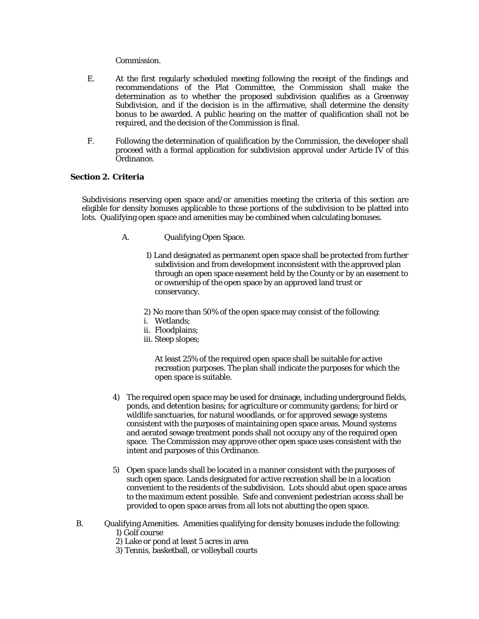#### Commission.

- E. At the first regularly scheduled meeting following the receipt of the findings and recommendations of the Plat Committee, the Commission shall make the determination as to whether the proposed subdivision qualifies as a Greenway Subdivision, and if the decision is in the affirmative, shall determine the density bonus to be awarded. A public hearing on the matter of qualification shall not be required, and the decision of the Commission is final.
- F. Following the determination of qualification by the Commission, the developer shall proceed with a formal application for subdivision approval under Article IV of this Ordinance.

#### **Section 2. Criteria**

Subdivisions reserving open space and/or amenities meeting the criteria of this section are eligible for density bonuses applicable to those portions of the subdivision to be platted into lots. Qualifying open space and amenities may be combined when calculating bonuses.

- A. Qualifying Open Space.
	- 1) Land designated as permanent open space shall be protected from further subdivision and from development inconsistent with the approved plan through an open space easement held by the County or by an easement to or ownership of the open space by an approved land trust or conservancy.

2) No more than 50% of the open space may consist of the following:

- i. Wetlands;
- ii. Floodplains;
- iii. Steep slopes;

 At least 25% of the required open space shall be suitable for active recreation purposes. The plan shall indicate the purposes for which the open space is suitable.

- 4) The required open space may be used for drainage, including underground fields, ponds, and detention basins; for agriculture or community gardens; for bird or wildlife sanctuaries, for natural woodlands, or for approved sewage systems consistent with the purposes of maintaining open space areas. Mound systems and aerated sewage treatment ponds shall not occupy any of the required open space. The Commission may approve other open space uses consistent with the intent and purposes of this Ordinance.
- 5) Open space lands shall be located in a manner consistent with the purposes of such open space. Lands designated for active recreation shall be in a location convenient to the residents of the subdivision. Lots should abut open space areas to the maximum extent possible. Safe and convenient pedestrian access shall be provided to open space areas from all lots not abutting the open space.
- B. Qualifying Amenities. Amenities qualifying for density bonuses include the following: 1) Golf course
	- 2) Lake or pond at least 5 acres in area
	- 3) Tennis, basketball, or volleyball courts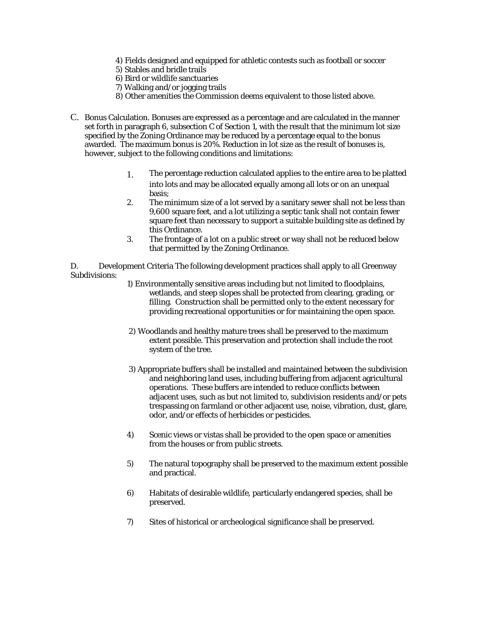- 4) Fields designed and equipped for athletic contests such as football or soccer
- 5) Stables and bridle trails
- 6) Bird or wildlife sanctuaries
- 7) Walking and/or jogging trails
- 8) Other amenities the Commission deems equivalent to those listed above.
- C. Bonus Calculation. Bonuses are expressed as a percentage and are calculated in the manner set forth in paragraph 6, subsection C of Section 1, with the result that the minimum lot size specified by the Zoning Ordinance may be reduced by a percentage equal to the bonus awarded. The maximum bonus is 20%. Reduction in lot size as the result of bonuses is, however, subject to the following conditions and limitations:
	- 1. The percentage reduction calculated applies to the entire area to be platted into lots and may be allocated equally among all lots or on an unequal basis;
	- 2. The minimum size of a lot served by a sanitary sewer shall not be less than 9,600 square feet, and a lot utilizing a septic tank shall not contain fewer square feet than necessary to support a suitable building site as defined by this Ordinance.
	- 3. The frontage of a lot on a public street or way shall not be reduced below that permitted by the Zoning Ordinance.

D. Development Criteria The following development practices shall apply to all Greenway Subdivisions:

- 1) Environmentally sensitive areas including but not limited to floodplains, wetlands, and steep slopes shall be protected from clearing, grading, or filling. Construction shall be permitted only to the extent necessary for providing recreational opportunities or for maintaining the open space.
- 2) Woodlands and healthy mature trees shall be preserved to the maximum extent possible. This preservation and protection shall include the root system of the tree.
- 3) Appropriate buffers shall be installed and maintained between the subdivision and neighboring land uses, including buffering from adjacent agricultural operations. These buffers are intended to reduce conflicts between adjacent uses, such as but not limited to, subdivision residents and/or pets trespassing on farmland or other adjacent use, noise, vibration, dust, glare, odor, and/or effects of herbicides or pesticides.
- 4) Scenic views or vistas shall be provided to the open space or amenities from the houses or from public streets.
- 5) The natural topography shall be preserved to the maximum extent possible and practical.
- 6) Habitats of desirable wildlife, particularly endangered species, shall be preserved.
- 7) Sites of historical or archeological significance shall be preserved.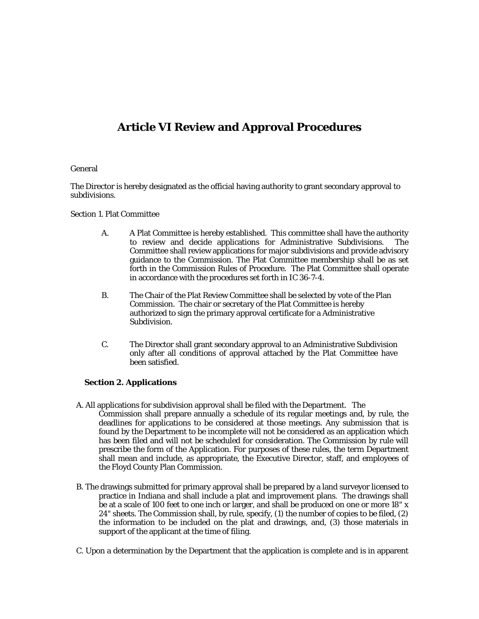## **Article VI Review and Approval Procedures**

#### General

The Director is hereby designated as the official having authority to grant secondary approval to subdivisions.

#### Section 1. Plat Committee

- A. A Plat Committee is hereby established. This committee shall have the authority to review and decide applications for Administrative Subdivisions. The Committee shall review applications for major subdivisions and provide advisory guidance to the Commission. The Plat Committee membership shall be as set forth in the Commission Rules of Procedure. The Plat Committee shall operate in accordance with the procedures set forth in IC 36-7-4.
- B. The Chair of the Plat Review Committee shall be selected by vote of the Plan Commission. The chair or secretary of the Plat Committee is hereby authorized to sign the primary approval certificate for a Administrative Subdivision.
- C. The Director shall grant secondary approval to an Administrative Subdivision only after all conditions of approval attached by the Plat Committee have been satisfied.

#### **Section 2. Applications**

- A. All applications for subdivision approval shall be filed with the Department. The Commission shall prepare annually a schedule of its regular meetings and, by rule, the deadlines for applications to be considered at those meetings. Any submission that is found by the Department to be incomplete will not be considered as an application which has been filed and will not be scheduled for consideration. The Commission by rule will prescribe the form of the Application. For purposes of these rules, the term Department shall mean and include, as appropriate, the Executive Director, staff, and employees of the Floyd County Plan Commission.
- B. The drawings submitted for primary approval shall be prepared by a land surveyor licensed to practice in Indiana and shall include a plat and improvement plans. The drawings shall be at a scale of 100 feet to one inch or larger, and shall be produced on one or more 18" x 24" sheets. The Commission shall, by rule, specify, (1) the number of copies to be filed, (2) the information to be included on the plat and drawings, and, (3) those materials in support of the applicant at the time of filing.
- C. Upon a determination by the Department that the application is complete and is in apparent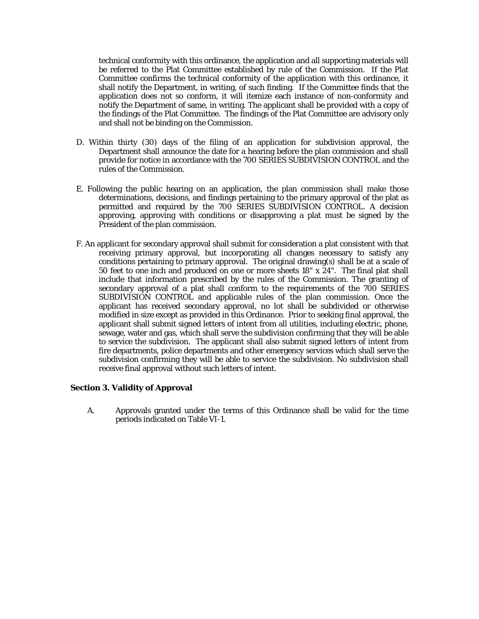technical conformity with this ordinance, the application and all supporting materials will be referred to the Plat Committee established by rule of the Commission. If the Plat Committee confirms the technical conformity of the application with this ordinance, it shall notify the Department, in writing, of such finding. If the Committee finds that the application does not so conform, it will itemize each instance of non-conformity and notify the Department of same, in writing. The applicant shall be provided with a copy of the findings of the Plat Committee. The findings of the Plat Committee are advisory only and shall not be binding on the Commission.

- D. Within thirty (30) days of the filing of an application for subdivision approval, the Department shall announce the date for a hearing before the plan commission and shall provide for notice in accordance with the 700 SERIES SUBDIVISION CONTROL and the rules of the Commission.
- E. Following the public hearing on an application, the plan commission shall make those determinations, decisions, and findings pertaining to the primary approval of the plat as permitted and required by the 700 SERIES SUBDIVISION CONTROL. A decision approving, approving with conditions or disapproving a plat must be signed by the President of the plan commission.
- F. An applicant for secondary approval shall submit for consideration a plat consistent with that receiving primary approval, but incorporating all changes necessary to satisfy any conditions pertaining to primary approval. The original drawing(s) shall be at a scale of 50 feet to one inch and produced on one or more sheets 18" x 24". The final plat shall include that information prescribed by the rules of the Commission. The granting of secondary approval of a plat shall conform to the requirements of the 700 SERIES SUBDIVISION CONTROL and applicable rules of the plan commission. Once the applicant has received secondary approval, no lot shall be subdivided or otherwise modified in size except as provided in this Ordinance. Prior to seeking final approval, the applicant shall submit signed letters of intent from all utilities, including electric, phone, sewage, water and gas, which shall serve the subdivision confirming that they will be able to service the subdivision. The applicant shall also submit signed letters of intent from fire departments, police departments and other emergency services which shall serve the subdivision confirming they will be able to service the subdivision. No subdivision shall receive final approval without such letters of intent.

#### **Section 3. Validity of Approval**

A. Approvals granted under the terms of this Ordinance shall be valid for the time periods indicated on Table VI-1.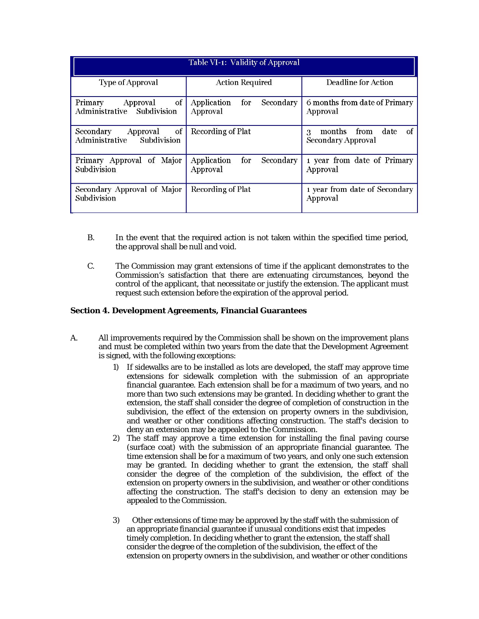| Table VI-1: Validity of Approval                             |                                             |                                                         |  |  |  |
|--------------------------------------------------------------|---------------------------------------------|---------------------------------------------------------|--|--|--|
| Type of Approval                                             | <b>Action Required</b>                      | Deadline for Action                                     |  |  |  |
| of<br>Primary<br>Approval<br>Administrative Subdivision      | Application<br>Secondary<br>for<br>Approval | 6 months from date of Primary<br>Approval               |  |  |  |
| Secondary<br>Approval<br>of<br>Administrative<br>Subdivision | Recording of Plat                           | from<br>date<br>months<br>of<br>3<br>Secondary Approval |  |  |  |
| Primary Approval of Major<br>Subdivision                     | Application<br>Secondary<br>for<br>Approval | 1 year from date of Primary<br>Approval                 |  |  |  |
| Secondary Approval of Major<br>Subdivision                   | Recording of Plat                           | 1 year from date of Secondary<br>Approval               |  |  |  |

- B. In the event that the required action is not taken within the specified time period, the approval shall be null and void.
- C. The Commission may grant extensions of time if the applicant demonstrates to the Commission's satisfaction that there are extenuating circumstances, beyond the control of the applicant, that necessitate or justify the extension. The applicant must request such extension before the expiration of the approval period.

#### **Section 4. Development Agreements, Financial Guarantees**

- A. All improvements required by the Commission shall be shown on the improvement plans and must be completed within two years from the date that the Development Agreement is signed, with the following exceptions:
	- 1) If sidewalks are to be installed as lots are developed, the staff may approve time extensions for sidewalk completion with the submission of an appropriate financial guarantee. Each extension shall be for a maximum of two years, and no more than two such extensions may be granted. In deciding whether to grant the extension, the staff shall consider the degree of completion of construction in the subdivision, the effect of the extension on property owners in the subdivision, and weather or other conditions affecting construction. The staff's decision to deny an extension may be appealed to the Commission.
	- 2) The staff may approve a time extension for installing the final paving course (surface coat) with the submission of an appropriate financial guarantee. The time extension shall be for a maximum of two years, and only one such extension may be granted. In deciding whether to grant the extension, the staff shall consider the degree of the completion of the subdivision, the effect of the extension on property owners in the subdivision, and weather or other conditions affecting the construction. The staff's decision to deny an extension may be appealed to the Commission.
	- 3) Other extensions of time may be approved by the staff with the submission of an appropriate financial guarantee if unusual conditions exist that impedes timely completion. In deciding whether to grant the extension, the staff shall consider the degree of the completion of the subdivision, the effect of the extension on property owners in the subdivision, and weather or other conditions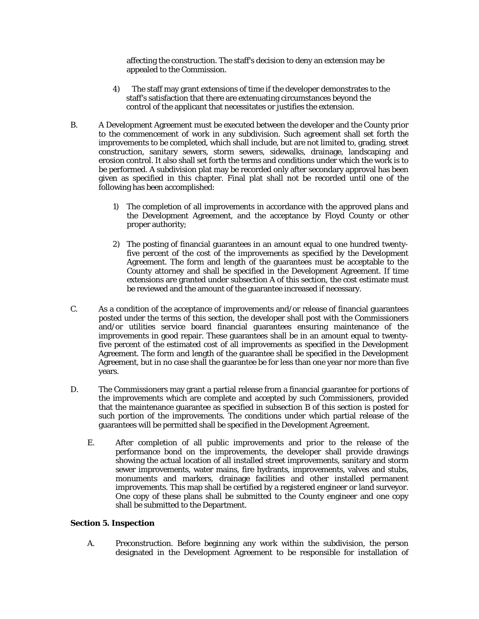affecting the construction. The staff's decision to deny an extension may be appealed to the Commission.

- 4) The staff may grant extensions of time if the developer demonstrates to the staff's satisfaction that there are extenuating circumstances beyond the control of the applicant that necessitates or justifies the extension.
- B. A Development Agreement must be executed between the developer and the County prior to the commencement of work in any subdivision. Such agreement shall set forth the improvements to be completed, which shall include, but are not limited to, grading, street construction, sanitary sewers, storm sewers, sidewalks, drainage, landscaping and erosion control. It also shall set forth the terms and conditions under which the work is to be performed. A subdivision plat may be recorded only after secondary approval has been given as specified in this chapter. Final plat shall not be recorded until one of the following has been accomplished:
	- 1) The completion of all improvements in accordance with the approved plans and the Development Agreement, and the acceptance by Floyd County or other proper authority;
	- 2) The posting of financial guarantees in an amount equal to one hundred twentyfive percent of the cost of the improvements as specified by the Development Agreement. The form and length of the guarantees must be acceptable to the County attorney and shall be specified in the Development Agreement. If time extensions are granted under subsection A of this section, the cost estimate must be reviewed and the amount of the guarantee increased if necessary.
- C. As a condition of the acceptance of improvements and/or release of financial guarantees posted under the terms of this section, the developer shall post with the Commissioners and/or utilities service board financial guarantees ensuring maintenance of the improvements in good repair. These guarantees shall be in an amount equal to twentyfive percent of the estimated cost of all improvements as specified in the Development Agreement. The form and length of the guarantee shall be specified in the Development Agreement, but in no case shall the guarantee be for less than one year nor more than five years.
- D. The Commissioners may grant a partial release from a financial guarantee for portions of the improvements which are complete and accepted by such Commissioners, provided that the maintenance guarantee as specified in subsection B of this section is posted for such portion of the improvements. The conditions under which partial release of the guarantees will be permitted shall be specified in the Development Agreement.
	- E. After completion of all public improvements and prior to the release of the performance bond on the improvements, the developer shall provide drawings showing the actual location of all installed street improvements, sanitary and storm sewer improvements, water mains, fire hydrants, improvements, valves and stubs, monuments and markers, drainage facilities and other installed permanent improvements. This map shall be certified by a registered engineer or land surveyor. One copy of these plans shall be submitted to the County engineer and one copy shall be submitted to the Department.

#### **Section 5. Inspection**

A. Preconstruction. Before beginning any work within the subdivision, the person designated in the Development Agreement to be responsible for installation of